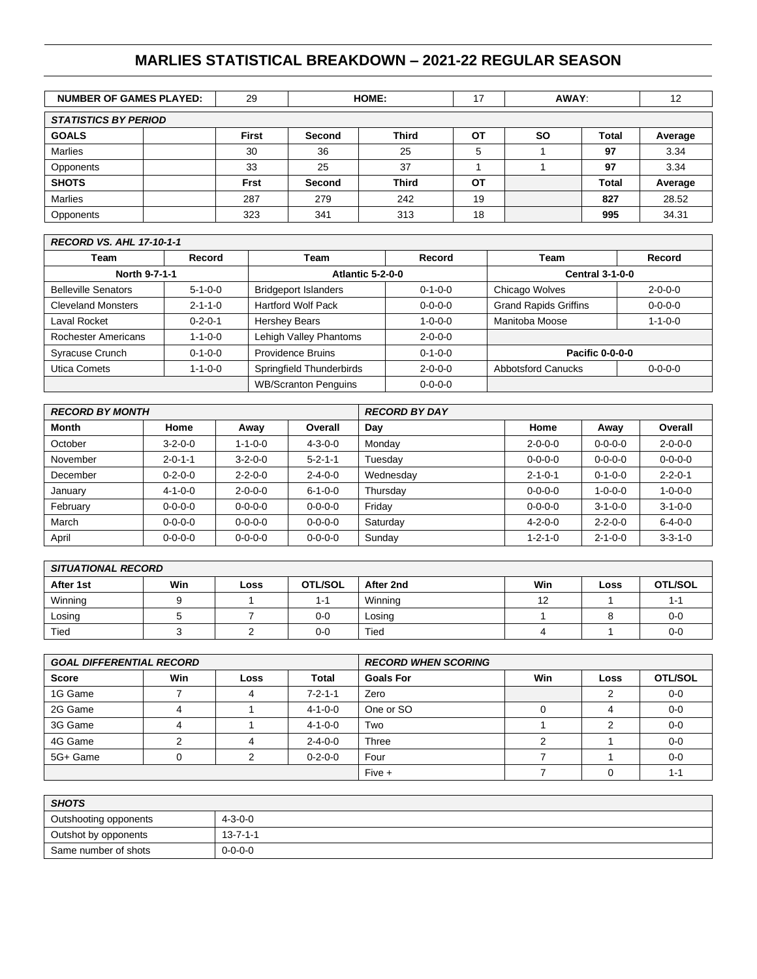# **MARLIES STATISTICAL BREAKDOWN – 2021-22 REGULAR SEASON**

| <b>NUMBER OF GAMES PLAYED:</b> |  | 29           | HOME:         |              | 17 | AWAY:     |              | 12      |  |  |
|--------------------------------|--|--------------|---------------|--------------|----|-----------|--------------|---------|--|--|
| <b>STATISTICS BY PERIOD</b>    |  |              |               |              |    |           |              |         |  |  |
| <b>GOALS</b>                   |  | <b>First</b> | Second        | <b>Third</b> | ΟT | <b>SO</b> | <b>Total</b> | Average |  |  |
| <b>Marlies</b>                 |  | 30           | 36            | 25           | 5  |           | 97           | 3.34    |  |  |
| Opponents                      |  | 33           | 25            | 37           |    |           | 97           | 3.34    |  |  |
| <b>SHOTS</b>                   |  | Frst         | <b>Second</b> | <b>Third</b> | ΟT |           | <b>Total</b> | Average |  |  |
| <b>Marlies</b>                 |  | 287          | 279           | 242          | 19 |           | 827          | 28.52   |  |  |
| Opponents                      |  | 323          | 341           | 313          | 18 |           | 995          | 34.31   |  |  |

### *RECORD VS. AHL 17-10-1-1*

| Team                            | <b>Record</b>   | Team                        | Record                                       |                              | <b>Record</b>   |  |
|---------------------------------|-----------------|-----------------------------|----------------------------------------------|------------------------------|-----------------|--|
| North 9-7-1-1                   |                 | <b>Atlantic 5-2-0-0</b>     |                                              | <b>Central 3-1-0-0</b>       |                 |  |
| <b>Belleville Senators</b>      | $5 - 1 - 0 - 0$ | <b>Bridgeport Islanders</b> | $0 - 1 - 0 - 0$                              | Chicago Wolves               | $2 - 0 - 0 - 0$ |  |
| <b>Cleveland Monsters</b>       | $2 - 1 - 1 - 0$ | <b>Hartford Wolf Pack</b>   | $0 - 0 - 0 - 0$                              | <b>Grand Rapids Griffins</b> | $0 - 0 - 0 - 0$ |  |
| Laval Rocket                    | $0 - 2 - 0 - 1$ | <b>Hershey Bears</b>        | $1 - 0 - 0 - 0$                              | Manitoba Moose               | $1 - 1 - 0 - 0$ |  |
| <b>Rochester Americans</b>      | $1 - 1 - 0 - 0$ | Lehigh Valley Phantoms      | $2 - 0 - 0 - 0$                              |                              |                 |  |
| Syracuse Crunch                 | $0 - 1 - 0 - 0$ | Providence Bruins           | $0 - 1 - 0 - 0$                              | <b>Pacific 0-0-0-0</b>       |                 |  |
| Utica Comets<br>$1 - 1 - 0 - 0$ |                 | Springfield Thunderbirds    | <b>Abbotsford Canucks</b><br>$2 - 0 - 0 - 0$ |                              | $0 - 0 - 0 - 0$ |  |
|                                 |                 | <b>WB/Scranton Penguins</b> | $0 - 0 - 0 - 0$                              |                              |                 |  |

| <b>RECORD BY MONTH</b> |                 |                 |                 | <b>RECORD BY DAY</b> |                 |                 |                 |  |
|------------------------|-----------------|-----------------|-----------------|----------------------|-----------------|-----------------|-----------------|--|
| <b>Month</b>           | Home            | Away            | Overall         | Day                  | Home            | Away            | Overall         |  |
| October                | $3 - 2 - 0 - 0$ | $1 - 1 - 0 - 0$ | $4 - 3 - 0 - 0$ | Monday               | $2 - 0 - 0 - 0$ | $0 - 0 - 0 - 0$ | $2 - 0 - 0 - 0$ |  |
| November               | $2 - 0 - 1 - 1$ | $3 - 2 - 0 - 0$ | $5 - 2 - 1 - 1$ | Tuesday              | $0 - 0 - 0 - 0$ | $0 - 0 - 0 - 0$ | $0 - 0 - 0 - 0$ |  |
| December               | $0 - 2 - 0 - 0$ | $2 - 2 - 0 - 0$ | $2 - 4 - 0 - 0$ | Wednesday            | $2 - 1 - 0 - 1$ | $0 - 1 - 0 - 0$ | $2 - 2 - 0 - 1$ |  |
| January                | $4 - 1 - 0 - 0$ | $2 - 0 - 0 - 0$ | $6 - 1 - 0 - 0$ | Thursday             | $0 - 0 - 0 - 0$ | $1 - 0 - 0 - 0$ | $1 - 0 - 0 - 0$ |  |
| February               | $0 - 0 - 0 - 0$ | $0 - 0 - 0 - 0$ | $0 - 0 - 0 - 0$ | Friday               | $0 - 0 - 0 - 0$ | $3 - 1 - 0 - 0$ | $3 - 1 - 0 - 0$ |  |
| March                  | $0 - 0 - 0 - 0$ | $0 - 0 - 0 - 0$ | $0 - 0 - 0 - 0$ | Saturdav             | $4 - 2 - 0 - 0$ | $2 - 2 - 0 - 0$ | $6 - 4 - 0 - 0$ |  |
| April                  | $0 - 0 - 0 - 0$ | $0 - 0 - 0 - 0$ | $0 - 0 - 0 - 0$ | Sunday               | $1 - 2 - 1 - 0$ | $2 - 1 - 0 - 0$ | $3 - 3 - 1 - 0$ |  |

| <b>SITUATIONAL RECORD</b> |     |      |                |           |     |      |                |  |  |  |  |
|---------------------------|-----|------|----------------|-----------|-----|------|----------------|--|--|--|--|
| After 1st                 | Win | Loss | <b>OTL/SOL</b> | After 2nd | Win | Loss | <b>OTL/SOL</b> |  |  |  |  |
| Winning                   |     |      | 1-1            | Winning   | 12  |      | . .            |  |  |  |  |
| Losing                    |     |      | $0 - 0$        | Losing    |     |      | $0 - 0$        |  |  |  |  |
| Tied                      |     |      | 0-0            | Tied      |     |      | $0 - 0$        |  |  |  |  |

| <b>GOAL DIFFERENTIAL RECORD</b> |            |      |                 | <b>RECORD WHEN SCORING</b> |     |      |                |  |
|---------------------------------|------------|------|-----------------|----------------------------|-----|------|----------------|--|
| <b>Score</b>                    | <b>Win</b> | Loss | <b>Total</b>    | <b>Goals For</b>           | Win | Loss | <b>OTL/SOL</b> |  |
| 1G Game                         |            |      | $7 - 2 - 1 - 1$ | Zero                       |     |      | $0 - 0$        |  |
| 2G Game                         | 4          |      | 4-1-0-0         | One or SO                  | 0   |      | $0 - 0$        |  |
| 3G Game                         |            |      | 4-1-0-0         | Two                        |     |      | $0 - 0$        |  |
| 4G Game                         |            |      | $2 - 4 - 0 - 0$ | Three                      |     |      | $0 - 0$        |  |
| 5G+ Game                        |            |      | $0 - 2 - 0 - 0$ | Four                       |     |      | $0 - 0$        |  |
|                                 |            |      |                 | Five +                     |     |      | $1 - 1$        |  |

| <b>SHOTS</b>          |                  |  |  |  |  |  |
|-----------------------|------------------|--|--|--|--|--|
| Outshooting opponents | $4 - 3 - 0 - 0$  |  |  |  |  |  |
| Outshot by opponents  | $13 - 7 - 1 - 1$ |  |  |  |  |  |
| Same number of shots  | $0 - 0 - 0 - 0$  |  |  |  |  |  |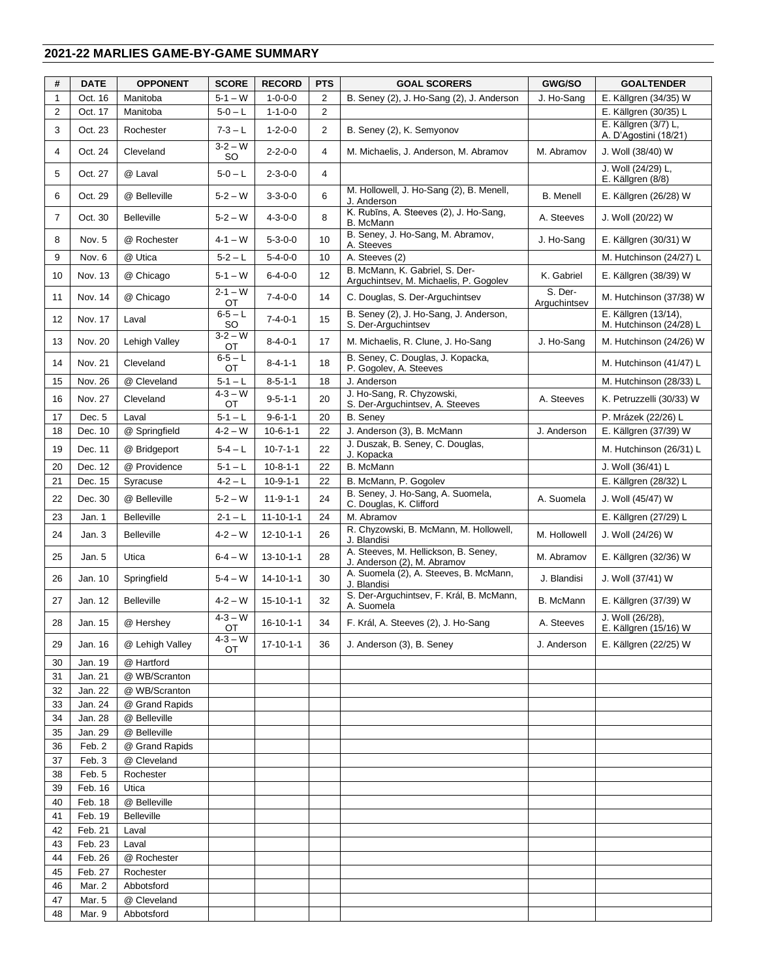## **2021-22 MARLIES GAME-BY-GAME SUMMARY**

| #              | <b>DATE</b>        | <b>OPPONENT</b>                 | <b>SCORE</b>      | <b>RECORD</b>     | <b>PTS</b>     | <b>GOAL SCORERS</b>                                                      | GWG/SO                  | <b>GOALTENDER</b>                               |
|----------------|--------------------|---------------------------------|-------------------|-------------------|----------------|--------------------------------------------------------------------------|-------------------------|-------------------------------------------------|
| $\mathbf{1}$   | Oct. 16            | Manitoba                        | $5 - 1 - W$       | $1 - 0 - 0 - 0$   | 2              | B. Seney (2), J. Ho-Sang (2), J. Anderson                                | J. Ho-Sang              | E. Källgren (34/35) W                           |
| $\overline{c}$ | Oct. 17            | Manitoba                        | $5 - 0 - L$       | $1 - 1 - 0 - 0$   | $\overline{2}$ |                                                                          |                         | E. Källgren (30/35) L                           |
| 3              | Oct. 23            | Rochester                       | $7 - 3 - L$       | $1 - 2 - 0 - 0$   | $\overline{2}$ | B. Seney (2), K. Semyonov                                                |                         | E. Källgren (3/7) L,<br>A. D'Agostini (18/21)   |
| 4              | Oct. 24            | Cleveland                       | $3 - 2 - W$<br>SO | $2 - 2 - 0 - 0$   | $\overline{4}$ | M. Michaelis, J. Anderson, M. Abramov                                    | M. Abramov              | J. Woll (38/40) W                               |
| 5              | Oct. 27            | @ Laval                         | $5 - 0 - L$       | $2 - 3 - 0 - 0$   | $\overline{4}$ |                                                                          |                         | J. Woll (24/29) L,<br>E. Källgren (8/8)         |
| 6              | Oct. 29            | @ Belleville                    | $5 - 2 - W$       | $3 - 3 - 0 - 0$   | 6              | M. Hollowell, J. Ho-Sang (2), B. Menell,<br>J. Anderson                  | <b>B.</b> Menell        | E. Källgren (26/28) W                           |
| 7              | Oct. 30            | <b>Belleville</b>               | $5 - 2 - W$       | $4 - 3 - 0 - 0$   | 8              | K. Rubīns, A. Steeves (2), J. Ho-Sang,<br>B. McMann                      | A. Steeves              | J. Woll (20/22) W                               |
| 8              | Nov. 5             | @ Rochester                     | $4 - 1 - W$       | $5 - 3 - 0 - 0$   | 10             | B. Seney, J. Ho-Sang, M. Abramov,<br>A. Steeves                          | J. Ho-Sang              | E. Källgren (30/31) W                           |
| 9              | Nov. 6             | @ Utica                         | $5 - 2 - L$       | $5 - 4 - 0 - 0$   | 10             | A. Steeves (2)                                                           |                         | M. Hutchinson (24/27) L                         |
| 10             | Nov. 13            | @ Chicago                       | $5 - 1 - W$       | $6 - 4 - 0 - 0$   | 12             | B. McMann, K. Gabriel, S. Der-<br>Arguchintsev, M. Michaelis, P. Gogolev | K. Gabriel              | E. Källgren (38/39) W                           |
| 11             | Nov. 14            | @ Chicago                       | $2 - 1 - W$<br>OT | $7 - 4 - 0 - 0$   | 14             | C. Douglas, S. Der-Arguchintsev                                          | S. Der-<br>Arguchintsev | M. Hutchinson (37/38) W                         |
| 12             | Nov. 17            | Laval                           | $6 - 5 - L$<br>SO | $7 - 4 - 0 - 1$   | 15             | B. Seney (2), J. Ho-Sang, J. Anderson,<br>S. Der-Arguchintsev            |                         | E. Källgren (13/14),<br>M. Hutchinson (24/28) L |
| 13             | Nov. 20            | Lehigh Valley                   | $3 - 2 - W$<br>ОT | $8 - 4 - 0 - 1$   | 17             | M. Michaelis, R. Clune, J. Ho-Sang                                       | J. Ho-Sang              | M. Hutchinson (24/26) W                         |
| 14             | Nov. 21            | Cleveland                       | $6 - 5 - L$<br>ОT | $8 - 4 - 1 - 1$   | 18             | B. Seney, C. Douglas, J. Kopacka,<br>P. Gogolev, A. Steeves              |                         | M. Hutchinson (41/47) L                         |
| 15             | Nov. 26            | @ Cleveland                     | $5 - 1 - L$       | $8 - 5 - 1 - 1$   | 18             | J. Anderson                                                              |                         | M. Hutchinson (28/33) L                         |
| 16             | Nov. 27            | Cleveland                       | $4 - 3 - W$<br>ОT | $9 - 5 - 1 - 1$   | 20             | J. Ho-Sang, R. Chyzowski,<br>S. Der-Arguchintsev, A. Steeves             | A. Steeves              | K. Petruzzelli (30/33) W                        |
| 17             | Dec. 5             | Laval                           | $5 - 1 - L$       | $9 - 6 - 1 - 1$   | 20             | <b>B.</b> Seney                                                          |                         | P. Mrázek (22/26) L                             |
| 18             | Dec. 10            | @ Springfield                   | $4 - 2 - W$       | $10-6-1-1$        | 22             | J. Anderson (3), B. McMann                                               | J. Anderson             | E. Källgren (37/39) W                           |
| 19             | Dec. 11            | @ Bridgeport                    | 5-4 – L           | $10 - 7 - 1 - 1$  | 22             | J. Duszak, B. Seney, C. Douglas,<br>J. Kopacka                           |                         | M. Hutchinson (26/31) L                         |
| 20             | Dec. 12            | @ Providence                    | $5 - 1 - L$       | $10 - 8 - 1 - 1$  | 22             | B. McMann                                                                |                         | J. Woll (36/41) L                               |
| 21             | Dec. 15            | Syracuse                        | $4 - 2 - L$       | $10 - 9 - 1 - 1$  | 22             | B. McMann, P. Gogolev                                                    |                         | E. Källgren (28/32) L                           |
| 22             | Dec. 30            | @ Belleville                    | $5 - 2 - W$       | $11 - 9 - 1 - 1$  | 24             | B. Seney, J. Ho-Sang, A. Suomela,<br>C. Douglas, K. Clifford             | A. Suomela              | J. Woll (45/47) W                               |
| 23             | Jan. 1             | <b>Belleville</b>               | $2 - 1 - L$       | $11 - 10 - 1 - 1$ | 24             | M. Abramov                                                               |                         | E. Källgren (27/29) L                           |
| 24             | Jan. 3             | <b>Belleville</b>               | $4 - 2 - W$       | $12 - 10 - 1 - 1$ | 26             | R. Chyzowski, B. McMann, M. Hollowell,<br>J. Blandisi                    | M. Hollowell            | J. Woll (24/26) W                               |
| 25             | Jan. 5             | Utica                           | $6 - 4 - W$       | $13 - 10 - 1 - 1$ | 28             | A. Steeves, M. Hellickson, B. Seney,<br>J. Anderson (2), M. Abramov      | M. Abramov              | E. Källgren (32/36) W                           |
| 26             | Jan. 10            | Springfield                     | $5 - 4 - W$       | $14 - 10 - 1 - 1$ | 30             | A. Suomela (2), A. Steeves, B. McMann,<br>J. Blandisi                    | J. Blandisi             | J. Woll (37/41) W                               |
| 27             | Jan. 12            | <b>Belleville</b>               | $4 - 2 - W$       | $15 - 10 - 1 - 1$ | 32             | S. Der-Arguchintsev, F. Král, B. McMann,<br>A. Suomela                   | B. McMann               | E. Källgren (37/39) W                           |
| 28             | Jan. 15            | @ Hershev                       | $4 - 3 - W$<br>OT | $16 - 10 - 1 - 1$ | 34             | F. Král, A. Steeves (2), J. Ho-Sang                                      | A. Steeves              | J. Woll (26/28),<br>E. Källgren (15/16) W       |
| 29             | Jan. 16            | @ Lehigh Valley                 | $4 - 3 - W$<br>ОT | $17 - 10 - 1 - 1$ | 36             | J. Anderson (3), B. Seney                                                | J. Anderson             | E. Källgren (22/25) W                           |
| 30             | Jan. 19            | @ Hartford                      |                   |                   |                |                                                                          |                         |                                                 |
| 31             | Jan. 21            | @ WB/Scranton                   |                   |                   |                |                                                                          |                         |                                                 |
| 32<br>33       | Jan. 22<br>Jan. 24 | @ WB/Scranton<br>@ Grand Rapids |                   |                   |                |                                                                          |                         |                                                 |
| 34             | Jan. 28            | @ Belleville                    |                   |                   |                |                                                                          |                         |                                                 |
| 35             | Jan. 29            | @ Belleville                    |                   |                   |                |                                                                          |                         |                                                 |
| 36             | Feb. 2             | @ Grand Rapids                  |                   |                   |                |                                                                          |                         |                                                 |
| 37             | Feb. 3             | @ Cleveland                     |                   |                   |                |                                                                          |                         |                                                 |
| 38             | Feb. 5             | Rochester                       |                   |                   |                |                                                                          |                         |                                                 |
| 39             | Feb. 16            | Utica                           |                   |                   |                |                                                                          |                         |                                                 |
| 40             | Feb. 18            | @ Belleville                    |                   |                   |                |                                                                          |                         |                                                 |
| 41             | Feb. 19            | <b>Belleville</b>               |                   |                   |                |                                                                          |                         |                                                 |
| 42             | Feb. 21            | Laval                           |                   |                   |                |                                                                          |                         |                                                 |
| 43             | Feb. 23            | Laval                           |                   |                   |                |                                                                          |                         |                                                 |
| 44             | Feb. 26            | @ Rochester                     |                   |                   |                |                                                                          |                         |                                                 |
| 45             | Feb. 27            | Rochester                       |                   |                   |                |                                                                          |                         |                                                 |
| 46             | Mar. 2             | Abbotsford                      |                   |                   |                |                                                                          |                         |                                                 |
| 47             | Mar. 5             | @ Cleveland                     |                   |                   |                |                                                                          |                         |                                                 |
| 48             | Mar. 9             | Abbotsford                      |                   |                   |                |                                                                          |                         |                                                 |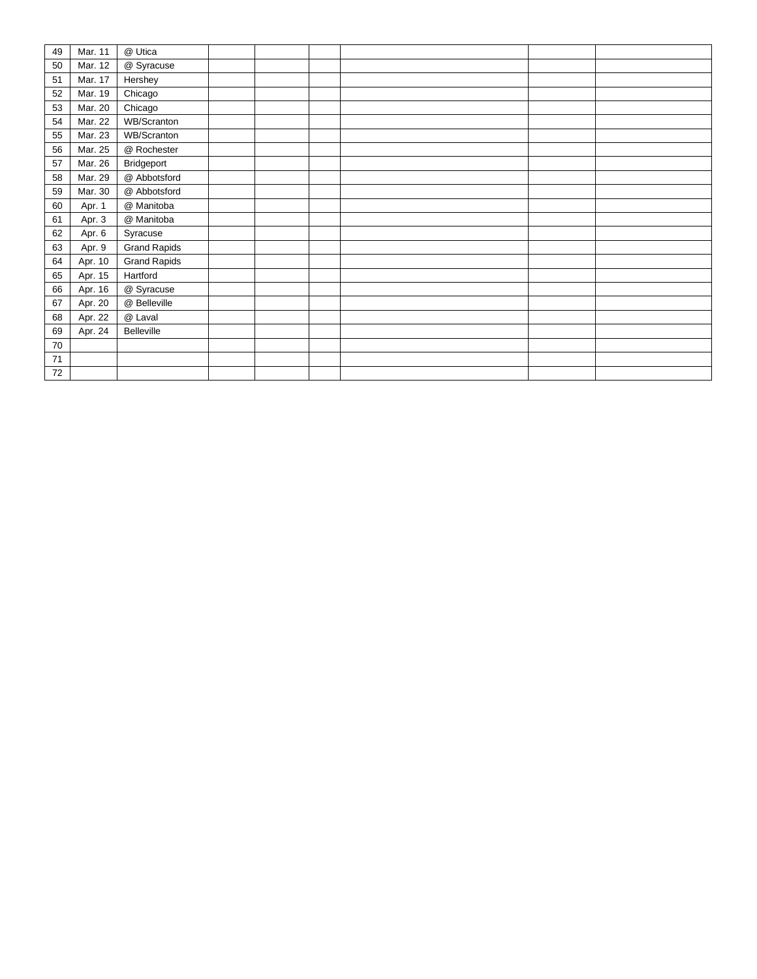| 49 | Mar. 11 | @ Utica             |  |  |  |
|----|---------|---------------------|--|--|--|
| 50 | Mar. 12 | @ Syracuse          |  |  |  |
| 51 | Mar. 17 | Hershey             |  |  |  |
| 52 | Mar. 19 | Chicago             |  |  |  |
| 53 | Mar. 20 | Chicago             |  |  |  |
| 54 | Mar. 22 | WB/Scranton         |  |  |  |
| 55 | Mar. 23 | WB/Scranton         |  |  |  |
| 56 | Mar. 25 | @ Rochester         |  |  |  |
| 57 | Mar. 26 | Bridgeport          |  |  |  |
| 58 | Mar. 29 | @ Abbotsford        |  |  |  |
| 59 | Mar. 30 | @ Abbotsford        |  |  |  |
| 60 | Apr. 1  | @ Manitoba          |  |  |  |
| 61 | Apr. 3  | @ Manitoba          |  |  |  |
| 62 | Apr. 6  | Syracuse            |  |  |  |
| 63 | Apr. 9  | <b>Grand Rapids</b> |  |  |  |
| 64 | Apr. 10 | <b>Grand Rapids</b> |  |  |  |
| 65 | Apr. 15 | Hartford            |  |  |  |
| 66 | Apr. 16 | @ Syracuse          |  |  |  |
| 67 | Apr. 20 | @ Belleville        |  |  |  |
| 68 | Apr. 22 | @ Laval             |  |  |  |
| 69 | Apr. 24 | Belleville          |  |  |  |
| 70 |         |                     |  |  |  |
| 71 |         |                     |  |  |  |
| 72 |         |                     |  |  |  |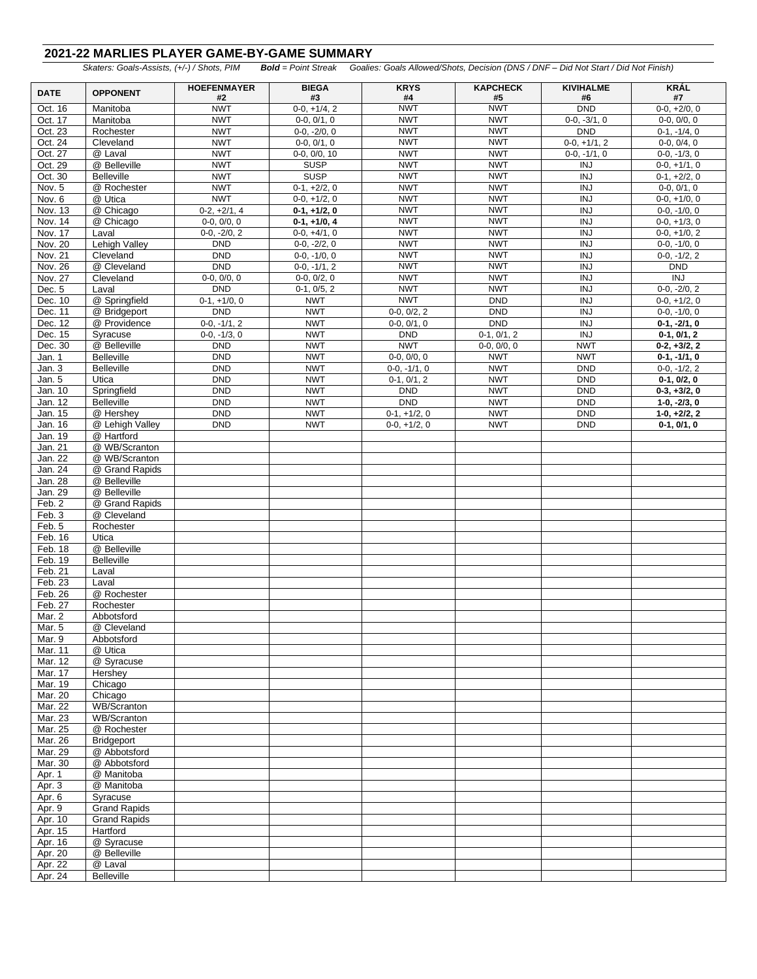### **2021-22 MARLIES PLAYER GAME-BY-GAME SUMMARY**

*Skaters: Goals-Assists, (+/-) / Shots, PIM Bold = Point Streak Goalies: Goals Allowed/Shots, Decision (DNS / DNF – Did Not Start / Did Not Finish)*

| <b>DATE</b>        | <b>OPPONENT</b>          | <b>HOEFENMAYER</b>               | <b>BIEGA</b>             | <b>KRYS</b>                 | <b>KAPCHECK</b>             | <b>KIVIHALME</b>             | <b>KRÁL</b>                     |
|--------------------|--------------------------|----------------------------------|--------------------------|-----------------------------|-----------------------------|------------------------------|---------------------------------|
| Oct. 16            | Manitoba                 | #2<br><b>NWT</b>                 | #3<br>$0-0, +1/4, 2$     | #4<br><b>NWT</b>            | #5<br><b>NWT</b>            | #6<br><b>DND</b>             | #7<br>$0-0, +2/0, 0$            |
| Oct. 17            | Manitoba                 | <b>NWT</b>                       | $0-0, 0/1, 0$            | <b>NWT</b>                  | <b>NWT</b>                  | $0-0, -3/1, 0$               | $0-0, 0/0, 0$                   |
| Oct. 23            | Rochester                | <b>NWT</b>                       | $0-0, -2/0, 0$           | <b>NWT</b>                  | <b>NWT</b>                  | <b>DND</b>                   | $0-1, -1/4, 0$                  |
| Oct. 24            | Cleveland                | <b>NWT</b>                       | $0-0, 0/1, 0$            | <b>NWT</b>                  | <b>NWT</b>                  | $0-0, +1/1, 2$               | $0-0, 0/4, 0$                   |
| Oct. 27            | @ Laval                  | <b>NWT</b>                       | $0-0, 0/0, 10$           | <b>NWT</b>                  | <b>NWT</b>                  | $0-0, -1/1, 0$               | $0-0, -1/3, 0$                  |
| Oct. 29            | @ Belleville             | <b>NWT</b>                       | <b>SUSP</b>              | <b>NWT</b>                  | <b>NWT</b>                  | <b>INJ</b>                   | $0-0, +1/1, 0$                  |
| Oct. 30            | <b>Belleville</b>        | <b>NWT</b>                       | <b>SUSP</b>              | <b>NWT</b>                  | <b>NWT</b>                  | $\overline{N}$               | $0-1, +2/2, 0$                  |
| Nov. 5             | @ Rochester              | <b>NWT</b>                       | $0-1, +2/2, 0$           | <b>NWT</b>                  | <b>NWT</b>                  | <b>INJ</b>                   | $0-0, 0/1, 0$                   |
| Nov. 6             | @ Utica                  | <b>NWT</b>                       | $0-0, +1/2, 0$           | <b>NWT</b>                  | <b>NWT</b>                  | <b>INJ</b>                   | $0-0, +1/0, 0$                  |
| Nov. 13            | @ Chicago                | $0-2, +2/1, 4$                   | $0-1, +1/2, 0$           | <b>NWT</b>                  | <b>NWT</b>                  | <b>INJ</b>                   | $0-0, -1/0, 0$                  |
| Nov. 14            | @ Chicago                | $0-0, 0/0, 0$                    | $0-1, +1/0, 4$           | <b>NWT</b>                  | <b>NWT</b>                  | $\overline{N}$               | $0-0, +1/3, 0$                  |
| Nov. 17            | Laval                    | $0-0, -2/0, 2$                   | $0-0, +4/1, 0$           | <b>NWT</b>                  | <b>NWT</b>                  | <b>INJ</b>                   | $0-0, +1/0, 2$                  |
| Nov. 20            | <b>Lehigh Valley</b>     | <b>DND</b>                       | $0-0, -2/2, 0$           | <b>NWT</b>                  | <b>NWT</b>                  | <b>INJ</b>                   | $0-0, -1/0, 0$                  |
| Nov. 21            | Cleveland                | <b>DND</b>                       | $0-0, -1/0, 0$           | <b>NWT</b>                  | <b>NWT</b>                  | <b>INJ</b>                   | $0-0, -1/2, 2$                  |
| Nov. 26            | @ Cleveland              | <b>DND</b>                       | $0-0, -1/1, 2$           | <b>NWT</b>                  | <b>NWT</b>                  | $\overline{INJ}$             | <b>DND</b>                      |
| Nov. 27            | Cleveland                | $0-0, 0/0, 0$                    | $0-0, 0/2, 0$            | <b>NWT</b>                  | <b>NWT</b>                  | $\overline{N}$               | $\overline{INJ}$                |
| Dec. 5             | Laval                    | <b>DND</b>                       | $0-1, 0/5, 2$            | <b>NWT</b>                  | <b>NWT</b>                  | $\overline{INJ}$             | $0-0, -2/0, 2$                  |
| Dec. 10            | @ Springfield            | $0-1, +1/0, 0$                   | <b>NWT</b>               | <b>NWT</b>                  | <b>DND</b>                  | <b>INJ</b>                   | $0-0, +1/2, 0$                  |
| Dec. 11            | @ Bridgeport             | <b>DND</b>                       | <b>NWT</b>               | $0-0, 0/2, 2$               | <b>DND</b>                  | $\overline{INJ}$             | $0-0, -1/0, 0$                  |
| Dec. 12<br>Dec. 15 | @ Providence<br>Syracuse | $0-0, -1/1, 2$<br>$0-0, -1/3, 0$ | <b>NWT</b><br><b>NWT</b> | $0-0, 0/1, 0$<br><b>DND</b> | <b>DND</b><br>$0-1, 0/1, 2$ | <b>INJ</b><br>$\overline{N}$ | $0-1, -2/1, 0$<br>$0-1, 0/1, 2$ |
| Dec. 30            | @ Belleville             | <b>DND</b>                       | <b>NWT</b>               | <b>NWT</b>                  | $0-0, 0/0, 0$               | <b>NWT</b>                   | $0-2, +3/2, 2$                  |
| Jan. 1             | <b>Belleville</b>        | <b>DND</b>                       | <b>NWT</b>               | $0-0, 0/0, 0$               | <b>NWT</b>                  | <b>NWT</b>                   | $0-1, -1/1, 0$                  |
| Jan. 3             | <b>Belleville</b>        | <b>DND</b>                       | <b>NWT</b>               | $0-0, -1/1, 0$              | <b>NWT</b>                  | <b>DND</b>                   | $0-0, -1/2, 2$                  |
| Jan. 5             | Utica                    | <b>DND</b>                       | <b>NWT</b>               | $0-1, 0/1, 2$               | <b>NWT</b>                  | <b>DND</b>                   | $0-1, 0/2, 0$                   |
| Jan. 10            | Springfield              | <b>DND</b>                       | <b>NWT</b>               | <b>DND</b>                  | <b>NWT</b>                  | <b>DND</b>                   | $0-3, +3/2, 0$                  |
| Jan. 12            | <b>Belleville</b>        | <b>DND</b>                       | <b>NWT</b>               | <b>DND</b>                  | <b>NWT</b>                  | <b>DND</b>                   | $1-0, -2/3, 0$                  |
| Jan. 15            | @ Hershey                | <b>DND</b>                       | <b>NWT</b>               | $0-1, +1/2, 0$              | <b>NWT</b>                  | <b>DND</b>                   | $1-0, +2/2, 2$                  |
| Jan. 16            | @ Lehigh Valley          | <b>DND</b>                       | <b>NWT</b>               | $0-0, +1/2, 0$              | <b>NWT</b>                  | <b>DND</b>                   | $0-1, 0/1, 0$                   |
| Jan. 19            | @ Hartford               |                                  |                          |                             |                             |                              |                                 |
| Jan. 21            | @ WB/Scranton            |                                  |                          |                             |                             |                              |                                 |
| Jan. 22            | @ WB/Scranton            |                                  |                          |                             |                             |                              |                                 |
| Jan. 24            | @ Grand Rapids           |                                  |                          |                             |                             |                              |                                 |
| Jan. 28            | @ Belleville             |                                  |                          |                             |                             |                              |                                 |
| Jan. 29            | @ Belleville             |                                  |                          |                             |                             |                              |                                 |
| Feb. 2             | @ Grand Rapids           |                                  |                          |                             |                             |                              |                                 |
| Feb. 3             | @ Cleveland              |                                  |                          |                             |                             |                              |                                 |
| Feb. 5             | Rochester                |                                  |                          |                             |                             |                              |                                 |
| Feb. 16            | Utica                    |                                  |                          |                             |                             |                              |                                 |
| Feb. 18            | @ Belleville             |                                  |                          |                             |                             |                              |                                 |
| Feb. 19            | <b>Belleville</b>        |                                  |                          |                             |                             |                              |                                 |
| Feb. 21            | Laval                    |                                  |                          |                             |                             |                              |                                 |
| Feb. 23            | Laval                    |                                  |                          |                             |                             |                              |                                 |
| Feb. 26<br>Feb. 27 | @ Rochester<br>Rochester |                                  |                          |                             |                             |                              |                                 |
| Mar. 2             | Abbotsford               |                                  |                          |                             |                             |                              |                                 |
| Mar. 5             | @ Cleveland              |                                  |                          |                             |                             |                              |                                 |
| Mar. 9             | Abbotsford               |                                  |                          |                             |                             |                              |                                 |
| Mar. 11            | @ Utica                  |                                  |                          |                             |                             |                              |                                 |
| Mar. 12            | @ Syracuse               |                                  |                          |                             |                             |                              |                                 |
| Mar. 17            | Hershey                  |                                  |                          |                             |                             |                              |                                 |
| Mar. 19            | Chicago                  |                                  |                          |                             |                             |                              |                                 |
| Mar. 20            | Chicago                  |                                  |                          |                             |                             |                              |                                 |
| Mar. 22            | WB/Scranton              |                                  |                          |                             |                             |                              |                                 |
| Mar. 23            | <b>WB/Scranton</b>       |                                  |                          |                             |                             |                              |                                 |
| Mar. 25            | @ Rochester              |                                  |                          |                             |                             |                              |                                 |
| Mar. 26            | <b>Bridgeport</b>        |                                  |                          |                             |                             |                              |                                 |
| Mar. 29            | @ Abbotsford             |                                  |                          |                             |                             |                              |                                 |
| Mar. 30            | @ Abbotsford             |                                  |                          |                             |                             |                              |                                 |
| Apr. 1             | @ Manitoba               |                                  |                          |                             |                             |                              |                                 |
| Apr. 3             | @ Manitoba               |                                  |                          |                             |                             |                              |                                 |
| Apr. 6             | Syracuse                 |                                  |                          |                             |                             |                              |                                 |
| Apr. 9             | <b>Grand Rapids</b>      |                                  |                          |                             |                             |                              |                                 |
| Apr. 10            | <b>Grand Rapids</b>      |                                  |                          |                             |                             |                              |                                 |
| Apr. 15            | Hartford                 |                                  |                          |                             |                             |                              |                                 |
| Apr. 16            | @ Syracuse               |                                  |                          |                             |                             |                              |                                 |
| Apr. 20<br>Apr. 22 | @ Belleville<br>@ Laval  |                                  |                          |                             |                             |                              |                                 |
| Apr. 24            | Belleville               |                                  |                          |                             |                             |                              |                                 |
|                    |                          |                                  |                          |                             |                             |                              |                                 |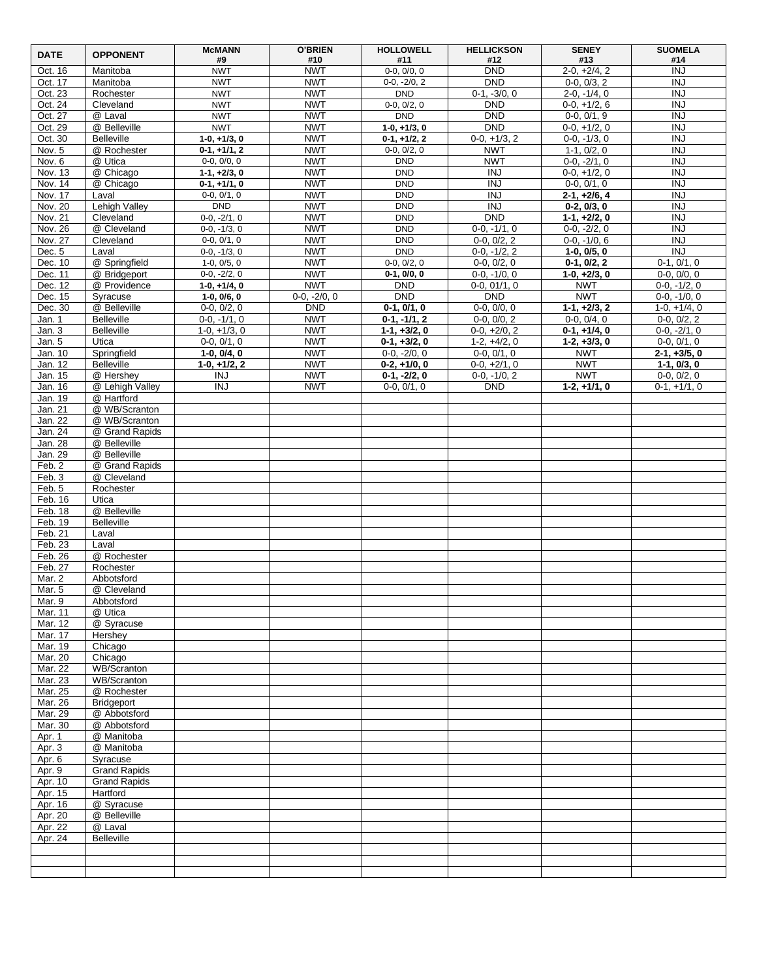| <b>DATE</b>          | <b>OPPONENT</b>                  | <b>McMANN</b><br>#9              | <b>O'BRIEN</b><br>#10        | <b>HOLLOWELL</b><br>#11          | <b>HELLICKSON</b><br>#12     | <b>SENEY</b><br>#13              | <b>SUOMELA</b><br>#14            |
|----------------------|----------------------------------|----------------------------------|------------------------------|----------------------------------|------------------------------|----------------------------------|----------------------------------|
| Oct. 16              | Manitoba                         | <b>NWT</b>                       | <b>NWT</b>                   | $0-0, 0/0, 0$                    | <b>DND</b>                   | $2-0, +2/4, 2$                   | $\overline{N}$                   |
| Oct. 17              | Manitoba                         | <b>NWT</b>                       | <b>NWT</b>                   | $0-0, -2/0, 2$                   | <b>DND</b>                   | $0-0, 0/3, 2$                    | <b>INJ</b>                       |
| Oct. 23              | Rochester                        | <b>NWT</b>                       | <b>NWT</b>                   | <b>DND</b>                       | $0-1, -3/0, 0$               | $2-0, -1/4, 0$                   | <b>INJ</b>                       |
| Oct. 24              | Cleveland                        | <b>NWT</b>                       | <b>NWT</b>                   | $0-0, 0/2, 0$                    | <b>DND</b>                   | $0-0, +1/2, 6$                   | <b>INJ</b>                       |
| Oct. 27              | @ Laval                          | <b>NWT</b>                       | <b>NWT</b>                   | <b>DND</b>                       | <b>DND</b>                   | $0-0, 0/1, 9$                    | <b>INJ</b>                       |
| Oct. 29              | @ Belleville                     | <b>NWT</b><br>$1-0, +1/3, 0$     | <b>NWT</b><br><b>NWT</b>     | $1-0, +1/3, 0$<br>$0-1, +1/2, 2$ | <b>DND</b>                   | $0-0, +1/2, 0$                   | <b>INJ</b><br><b>INJ</b>         |
| Oct. 30<br>Nov. 5    | <b>Belleville</b><br>@ Rochester | $0-1, +1/1, 2$                   | <b>NWT</b>                   | $0-0, 0/2, 0$                    | $0-0, +1/3, 2$<br><b>NWT</b> | $0-0, -1/3, 0$<br>$1-1, 0/2, 0$  | <b>INJ</b>                       |
| Nov. 6               | @ Utica                          | $0-0, 0/0, 0$                    | <b>NWT</b>                   | <b>DND</b>                       | <b>NWT</b>                   | $0-0, -2/1, 0$                   | <b>INJ</b>                       |
| Nov. 13              | @ Chicago                        | $1-1, +2/3, 0$                   | <b>NWT</b>                   | <b>DND</b>                       | <b>INJ</b>                   | $0-0, +1/2, 0$                   | <b>INJ</b>                       |
| Nov. 14              | @ Chicago                        | $0-1, +1/1, 0$                   | <b>NWT</b>                   | <b>DND</b>                       | <b>INJ</b>                   | $0-0, 0/1, 0$                    | <b>INJ</b>                       |
| Nov. 17              | Laval                            | $0-0, 0/1, 0$                    | <b>NWT</b>                   | <b>DND</b>                       | $\overline{N}$               | $2-1, +2/6, 4$                   | $\overline{INJ}$                 |
| Nov. 20              | Lehigh Valley                    | <b>DND</b>                       | <b>NWT</b>                   | <b>DND</b>                       | <b>INJ</b>                   | $0-2, 0/3, 0$                    | <b>INJ</b>                       |
| Nov. 21<br>Nov. 26   | Cleveland<br>@ Cleveland         | $0-0, -2/1, 0$<br>$0-0, -1/3, 0$ | <b>NWT</b><br><b>NWT</b>     | <b>DND</b><br><b>DND</b>         | <b>DND</b><br>$0-0, -1/1, 0$ | $1-1, +2/2, 0$<br>$0-0, -2/2, 0$ | <b>INJ</b><br><b>INJ</b>         |
| Nov. 27              | Cleveland                        | $0-0, 0/1, 0$                    | <b>NWT</b>                   | <b>DND</b>                       | $0-0, 0/2, 2$                | $0-0, -1/0, 6$                   | <b>INJ</b>                       |
| Dec. 5               | Laval                            | $0-0, -1/3, 0$                   | <b>NWT</b>                   | <b>DND</b>                       | $0-0, -1/2, 2$               | $1-0, 0/5, 0$                    | INJ                              |
| Dec. 10              | @ Springfield                    | $1-0, 0/5, 0$                    | <b>NWT</b>                   | $0-0, 0/2, 0$                    | $0-0, 0/2, 0$                | $0-1, 0/2, 2$                    | $0-1, 0/1, 0$                    |
| Dec. 11              | @ Bridgeport                     | $0-0, -2/2, 0$                   | <b>NWT</b>                   | $0-1, 0/0, 0$                    | $0-0, -1/0, 0$               | $1-0, +2/3, 0$                   | $0-0, 0/0, 0$                    |
| Dec. 12              | @ Providence                     | $1-0, +1/4, 0$                   | <b>NWT</b>                   | <b>DND</b>                       | $0-0.01/1.0$                 | <b>NWT</b>                       | $0-0, -1/2, 0$                   |
| Dec. 15<br>Dec. 30   | Syracuse<br>@ Belleville         | $1-0, 0/6, 0$<br>$0-0, 0/2, 0$   | $0-0, -2/0, 0$<br><b>DND</b> | <b>DND</b><br>$0-1, 0/1, 0$      | <b>DND</b><br>$0-0, 0/0, 0$  | <b>NWT</b><br>$1-1, +2/3, 2$     | $0-0, -1/0, 0$<br>$1-0, +1/4, 0$ |
| Jan. 1               | <b>Belleville</b>                | $0-0, -1/1, 0$                   | <b>NWT</b>                   | $0-1, -1/1, 2$                   | $0-0, 0/0, 2$                | $0-0, 0/4, 0$                    | $0-0, 0/2, 2$                    |
| Jan. 3               | <b>Belleville</b>                | $1-0, +1/3, 0$                   | <b>NWT</b>                   | $1-1, +3/2, 0$                   | $0-0, +2/0, 2$               | $0-1, +1/4, 0$                   | $0-0, -2/1, 0$                   |
| Jan. 5               | Utica                            | $0-0, 0/1, 0$                    | <b>NWT</b>                   | $0-1, +3/2, 0$                   | $1-2, +4/2, 0$               | $1-2, +3/3, 0$                   | $0-0, 0/1, 0$                    |
| Jan. 10              | Springfield                      | $1-0.0/4.0$                      | <b>NWT</b>                   | $0-0, -2/0, 0$                   | $0-0, 0/1, 0$                | <b>NWT</b>                       | $2 - 1, +3/5, 0$                 |
| Jan. 12              | <b>Belleville</b>                | $1-0, +1/2, 2$                   | <b>NWT</b>                   | $0-2, +1/0, 0$                   | $0-0, +2/1, 0$               | <b>NWT</b>                       | $1-1, 0/3, 0$                    |
| Jan. 15              | @ Hershey<br>@ Lehigh Valley     | <b>INJ</b>                       | <b>NWT</b>                   | $0-1, -2/2, 0$                   | $0-0, -1/0, 2$               | <b>NWT</b><br>$1-2, +1/1, 0$     | $0-0, 0/2, 0$                    |
| Jan. 16<br>Jan. 19   | @ Hartford                       | INJ                              | <b>NWT</b>                   | $0-0, 0/1, 0$                    | <b>DND</b>                   |                                  | $0-1, +1/1, 0$                   |
| Jan. 21              | @ WB/Scranton                    |                                  |                              |                                  |                              |                                  |                                  |
| Jan. 22              | @ WB/Scranton                    |                                  |                              |                                  |                              |                                  |                                  |
| Jan. 24              | @ Grand Rapids                   |                                  |                              |                                  |                              |                                  |                                  |
| Jan. 28              | @ Belleville                     |                                  |                              |                                  |                              |                                  |                                  |
| Jan. 29              | @ Belleville<br>@ Grand Rapids   |                                  |                              |                                  |                              |                                  |                                  |
| Feb. 2<br>Feb. 3     | @ Cleveland                      |                                  |                              |                                  |                              |                                  |                                  |
| Feb. 5               | Rochester                        |                                  |                              |                                  |                              |                                  |                                  |
| Feb. 16              | Utica                            |                                  |                              |                                  |                              |                                  |                                  |
| Feb. 18              | @ Belleville                     |                                  |                              |                                  |                              |                                  |                                  |
| Feb. 19              | <b>Belleville</b>                |                                  |                              |                                  |                              |                                  |                                  |
| Feb. $21$<br>Feb. 23 | Laval<br>Laval                   |                                  |                              |                                  |                              |                                  |                                  |
| Feb. 26              | @ Rochester                      |                                  |                              |                                  |                              |                                  |                                  |
| Feb. 27              | Rochester                        |                                  |                              |                                  |                              |                                  |                                  |
| Mar. 2               | Abbotsford                       |                                  |                              |                                  |                              |                                  |                                  |
| Mar. 5               | @ Cleveland                      |                                  |                              |                                  |                              |                                  |                                  |
| Mar. 9               | Abbotsford                       |                                  |                              |                                  |                              |                                  |                                  |
| Mar. 11<br>Mar. 12   | @ Utica<br>@ Syracuse            |                                  |                              |                                  |                              |                                  |                                  |
| Mar. 17              | Hershey                          |                                  |                              |                                  |                              |                                  |                                  |
| Mar. 19              | Chicago                          |                                  |                              |                                  |                              |                                  |                                  |
| Mar. 20              | Chicago                          |                                  |                              |                                  |                              |                                  |                                  |
| Mar. 22              | <b>WB/Scranton</b>               |                                  |                              |                                  |                              |                                  |                                  |
| Mar. 23<br>Mar. 25   | WB/Scranton<br>@ Rochester       |                                  |                              |                                  |                              |                                  |                                  |
| Mar. 26              | Bridgeport                       |                                  |                              |                                  |                              |                                  |                                  |
| Mar. 29              | @ Abbotsford                     |                                  |                              |                                  |                              |                                  |                                  |
| Mar. 30              | @ Abbotsford                     |                                  |                              |                                  |                              |                                  |                                  |
| Apr. 1               | @ Manitoba                       |                                  |                              |                                  |                              |                                  |                                  |
| Apr. 3               | @ Manitoba                       |                                  |                              |                                  |                              |                                  |                                  |
| Apr. 6<br>Apr. 9     | Syracuse<br><b>Grand Rapids</b>  |                                  |                              |                                  |                              |                                  |                                  |
| Apr. 10              | <b>Grand Rapids</b>              |                                  |                              |                                  |                              |                                  |                                  |
| Apr. 15              | Hartford                         |                                  |                              |                                  |                              |                                  |                                  |
| Apr. 16              | @ Syracuse                       |                                  |                              |                                  |                              |                                  |                                  |
| Apr. 20              | @ Belleville                     |                                  |                              |                                  |                              |                                  |                                  |
| Apr. 22              | @ Laval<br><b>Belleville</b>     |                                  |                              |                                  |                              |                                  |                                  |
| Apr. 24              |                                  |                                  |                              |                                  |                              |                                  |                                  |
|                      |                                  |                                  |                              |                                  |                              |                                  |                                  |
|                      |                                  |                                  |                              |                                  |                              |                                  |                                  |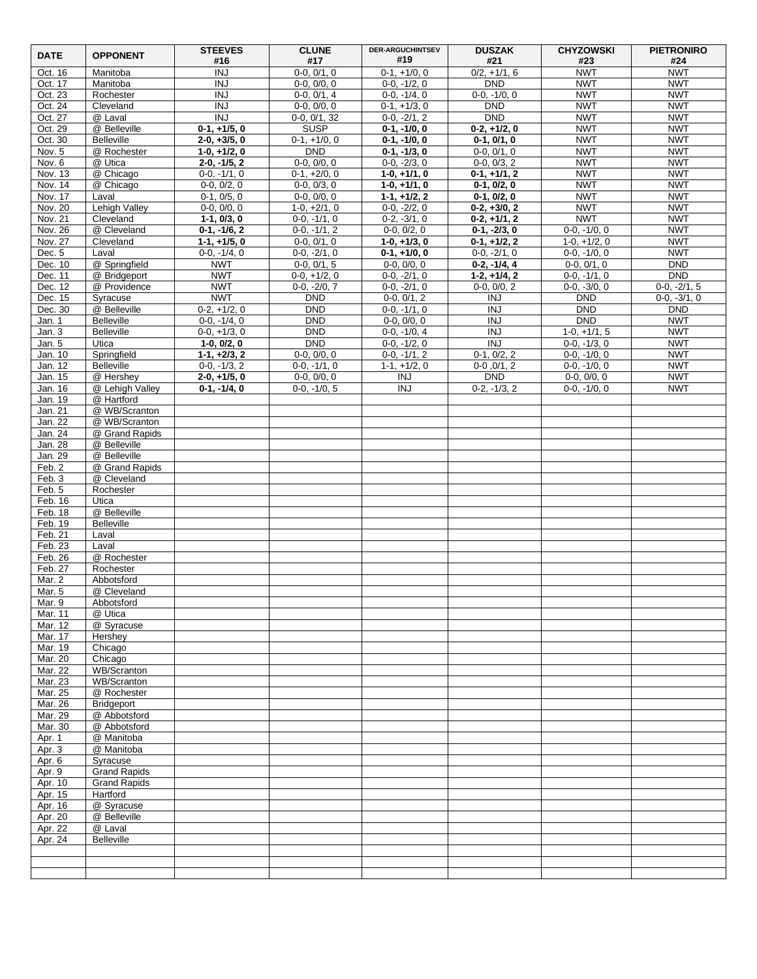| <b>DATE</b>        | <b>OPPONENT</b>                  | <b>STEEVES</b>                   | <b>CLUNE</b>                    | <b>DER-ARGUCHINTSEV</b>          | <b>DUSZAK</b>                    | <b>CHYZOWSKI</b>                 | <b>PIETRONIRO</b>        |
|--------------------|----------------------------------|----------------------------------|---------------------------------|----------------------------------|----------------------------------|----------------------------------|--------------------------|
| Oct. 16            | Manitoba                         | #16<br><b>INJ</b>                | #17<br>$0-0, 0/1, 0$            | #19<br>$0-1, +1/0, 0$            | #21<br>$0/2, +1/1, 6$            | #23<br><b>NWT</b>                | #24<br><b>NWT</b>        |
| Oct. 17            | Manitoba                         | <b>INJ</b>                       | $0-0, 0/0, 0$                   | $0-0, -1/2, 0$                   | <b>DND</b>                       | <b>NWT</b>                       | <b>NWT</b>               |
| Oct. 23            | Rochester                        | $\overline{INJ}$                 | $0-0, 0/1, 4$                   | $0-0, -1/4, 0$                   | $0-0, -1/0, 0$                   | <b>NWT</b>                       | <b>NWT</b>               |
| Oct. 24            | Cleveland                        | <b>INJ</b>                       | $0-0, 0/0, 0$                   | $0-1, +1/3, 0$                   | <b>DND</b>                       | <b>NWT</b>                       | <b>NWT</b>               |
| Oct. 27            | @ Laval                          | <b>INJ</b>                       | $0-0, 0/1, 32$                  | $0-0, -2/1, 2$                   | <b>DND</b>                       | <b>NWT</b>                       | <b>NWT</b>               |
| Oct. 29            | @ Belleville                     | $0-1, +1/5, 0$                   | <b>SUSP</b>                     | $0-1, -1/0, 0$                   | $0-2, +1/2, 0$                   | <b>NWT</b>                       | <b>NWT</b>               |
| Oct. 30            | <b>Belleville</b>                | $2-0, +3/5, 0$                   | $0-1, +1/0, 0$                  | $0-1, -1/0, 0$                   | $0-1, 0/1, 0$                    | <b>NWT</b>                       | <b>NWT</b>               |
| Nov. 5             | @ Rochester                      | $1-0, +1/2, 0$                   | <b>DND</b>                      | $0-1, -1/3, 0$                   | $0-0, 0/1, 0$                    | <b>NWT</b>                       | <b>NWT</b>               |
| Nov. 6<br>Nov. 13  | @ Utica<br>@ Chicago             | $2-0, -1/5, 2$<br>$0-0, -1/1, 0$ | $0-0, 0/0, 0$<br>$0-1, +2/0, 0$ | $0-0, -2/3, 0$<br>$1-0, +1/1, 0$ | $0-0, 0/3, 2$<br>$0-1, +1/1, 2$  | <b>NWT</b><br><b>NWT</b>         | <b>NWT</b><br><b>NWT</b> |
| Nov. 14            | @ Chicago                        | $0-0, 0/2, 0$                    | $0-0, 0/3, 0$                   | $1-0, +1/1, 0$                   | $0-1, 0/2, 0$                    | <b>NWT</b>                       | <b>NWT</b>               |
| Nov. 17            | Laval                            | $0-1, 0/5, 0$                    | $0-0, 0/0, 0$                   | $1-1, +1/2, 2$                   | $0-1, 0/2, 0$                    | <b>NWT</b>                       | <b>NWT</b>               |
| Nov. 20            | Lehigh Valley                    | $0-0, 0/0, 0$                    | $1-0, +2/1, 0$                  | $0-0, -2/2, 0$                   | $0-2, +3/0, 2$                   | <b>NWT</b>                       | <b>NWT</b>               |
| Nov. 21            | Cleveland                        | $1-1, 0/3, 0$                    | $0-0, -1/1, 0$                  | $0-2, -3/1, 0$                   | $0-2, +1/1, 2$                   | <b>NWT</b>                       | <b>NWT</b>               |
| Nov. 26            | @ Cleveland                      | $0-1, -1/6, 2$                   | $0-0, -1/1, 2$                  | $0-0, 0/2, 0$                    | $0-1, -2/3, 0$                   | $0-0, -1/0, 0$                   | <b>NWT</b>               |
| Nov. 27            | Cleveland                        | $1-1, +1/5, 0$                   | $0-0, 0/1, 0$                   | $1-0, +1/3, 0$                   | $0-1, +1/2, 2$                   | $1-0, +1/2, 0$                   | <b>NWT</b>               |
| Dec. 5<br>Dec. 10  | Laval<br>@ Springfield           | $0-0, -1/4, 0$<br><b>NWT</b>     | $0-0, -2/1, 0$<br>$0-0, 0/1, 5$ | $0-1, +1/0, 0$                   | $0-0, -2/1, 0$<br>$0-2, -1/4, 4$ | $0-0, -1/0, 0$<br>$0-0, 0/1, 0$  | <b>NWT</b><br><b>DND</b> |
| Dec. 11            | @ Bridgeport                     | <b>NWT</b>                       | $0-0, +1/2, 0$                  | $0-0, 0/0, 0$<br>$0-0, -2/1, 0$  | $1-2, +1/4, 2$                   | $0-0, -1/1, 0$                   | <b>DND</b>               |
| Dec. 12            | @ Providence                     | <b>NWT</b>                       | $0-0, -2/0, 7$                  | $0-0, -2/1, 0$                   | $0-0, 0/0, 2$                    | $0-0, -3/0, 0$                   | $0-0, -2/1, 5$           |
| Dec. 15            | Syracuse                         | <b>NWT</b>                       | <b>DND</b>                      | $0-0, 0/1, 2$                    | <b>INJ</b>                       | <b>DND</b>                       | $0-0, -3/1, 0$           |
| Dec. 30            | @ Belleville                     | $0-2, +1/2, 0$                   | <b>DND</b>                      | $0-0, -1/1, 0$                   | <b>INJ</b>                       | <b>DND</b>                       | <b>DND</b>               |
| Jan. 1             | <b>Belleville</b>                | $0-0, -1/4, 0$                   | <b>DND</b>                      | $0-0, 0/0, 0$                    | <b>INJ</b>                       | <b>DND</b>                       | <b>NWT</b>               |
| Jan. 3             | <b>Belleville</b>                | $0-0, +1/3, 0$                   | <b>DND</b>                      | $0-0, -1/0, 4$                   | $\overline{N}$                   | $1-0, +1/1, 5$                   | <b>NWT</b>               |
| Jan. 5             | Utica                            | $1-0, 0/2, 0$                    | <b>DND</b>                      | $0-0, -1/2, 0$                   | <b>INJ</b>                       | $0-0, -1/3, 0$                   | <b>NWT</b>               |
| Jan. 10<br>Jan. 12 | Springfield<br><b>Belleville</b> | $1-1, +2/3, 2$<br>$0-0, -1/3, 2$ | $0-0, 0/0, 0$<br>$0-0, -1/1, 0$ | $0-0, -1/1, 2$<br>$1-1, +1/2, 0$ | $0-1, 0/2, 2$<br>$0-0, 0/1, 2$   | $0-0, -1/0, 0$<br>$0-0, -1/0, 0$ | <b>NWT</b><br><b>NWT</b> |
| Jan. 15            | @ Hershey                        | $2-0, +1/5, 0$                   | $0-0, 0/0, 0$                   | <b>INJ</b>                       | <b>DND</b>                       | $0-0, 0/0, 0$                    | <b>NWT</b>               |
| Jan. 16            | @ Lehigh Valley                  | $0-1, -1/4, 0$                   | $0-0, -1/0, 5$                  | <b>INJ</b>                       | $0-2, -1/3, 2$                   | $0-0, -1/0, 0$                   | <b>NWT</b>               |
| Jan. 19            | @ Hartford                       |                                  |                                 |                                  |                                  |                                  |                          |
| Jan. 21            | @ WB/Scranton                    |                                  |                                 |                                  |                                  |                                  |                          |
| Jan. 22            | @ WB/Scranton                    |                                  |                                 |                                  |                                  |                                  |                          |
| Jan. 24            | @ Grand Rapids                   |                                  |                                 |                                  |                                  |                                  |                          |
| Jan. 28<br>Jan. 29 | @ Belleville<br>@ Belleville     |                                  |                                 |                                  |                                  |                                  |                          |
| Feb. 2             | @ Grand Rapids                   |                                  |                                 |                                  |                                  |                                  |                          |
| Feb. 3             | @ Cleveland                      |                                  |                                 |                                  |                                  |                                  |                          |
| Feb. 5             | Rochester                        |                                  |                                 |                                  |                                  |                                  |                          |
| Feb. 16            | Utica                            |                                  |                                 |                                  |                                  |                                  |                          |
| Feb. 18            | @ Belleville                     |                                  |                                 |                                  |                                  |                                  |                          |
| Feb. 19            | <b>Belleville</b>                |                                  |                                 |                                  |                                  |                                  |                          |
| Feb. 21<br>Feb. 23 | Laval<br>Laval                   |                                  |                                 |                                  |                                  |                                  |                          |
| Feb. 26            | @ Rochester                      |                                  |                                 |                                  |                                  |                                  |                          |
| Feb. 27            | Rochester                        |                                  |                                 |                                  |                                  |                                  |                          |
| Mar. 2             | Abbotsford                       |                                  |                                 |                                  |                                  |                                  |                          |
| Mar. 5             | @ Cleveland                      |                                  |                                 |                                  |                                  |                                  |                          |
| Mar. 9             | Abbotsford                       |                                  |                                 |                                  |                                  |                                  |                          |
| Mar. 11<br>Mar. 12 | @ Utica<br>@ Syracuse            |                                  |                                 |                                  |                                  |                                  |                          |
| Mar. 17            | Hershey                          |                                  |                                 |                                  |                                  |                                  |                          |
| Mar. 19            | Chicago                          |                                  |                                 |                                  |                                  |                                  |                          |
| Mar. 20            | Chicago                          |                                  |                                 |                                  |                                  |                                  |                          |
| Mar. 22            | WB/Scranton                      |                                  |                                 |                                  |                                  |                                  |                          |
| Mar. 23            | <b>WB/Scranton</b>               |                                  |                                 |                                  |                                  |                                  |                          |
| Mar. 25            | @ Rochester                      |                                  |                                 |                                  |                                  |                                  |                          |
| Mar. 26<br>Mar. 29 | Bridgeport<br>@ Abbotsford       |                                  |                                 |                                  |                                  |                                  |                          |
| Mar. 30            | @ Abbotsford                     |                                  |                                 |                                  |                                  |                                  |                          |
| Apr. 1             | @ Manitoba                       |                                  |                                 |                                  |                                  |                                  |                          |
| Apr. $3$           | @ Manitoba                       |                                  |                                 |                                  |                                  |                                  |                          |
| Apr. 6             | Syracuse                         |                                  |                                 |                                  |                                  |                                  |                          |
| Apr.9              | <b>Grand Rapids</b>              |                                  |                                 |                                  |                                  |                                  |                          |
| Apr. 10            | <b>Grand Rapids</b>              |                                  |                                 |                                  |                                  |                                  |                          |
| Apr. 15<br>Apr. 16 | Hartford<br>@ Syracuse           |                                  |                                 |                                  |                                  |                                  |                          |
| Apr. 20            | @ Belleville                     |                                  |                                 |                                  |                                  |                                  |                          |
| Apr. 22            | @ Laval                          |                                  |                                 |                                  |                                  |                                  |                          |
| Apr. 24            | <b>Belleville</b>                |                                  |                                 |                                  |                                  |                                  |                          |
|                    |                                  |                                  |                                 |                                  |                                  |                                  |                          |
|                    |                                  |                                  |                                 |                                  |                                  |                                  |                          |
|                    |                                  |                                  |                                 |                                  |                                  |                                  |                          |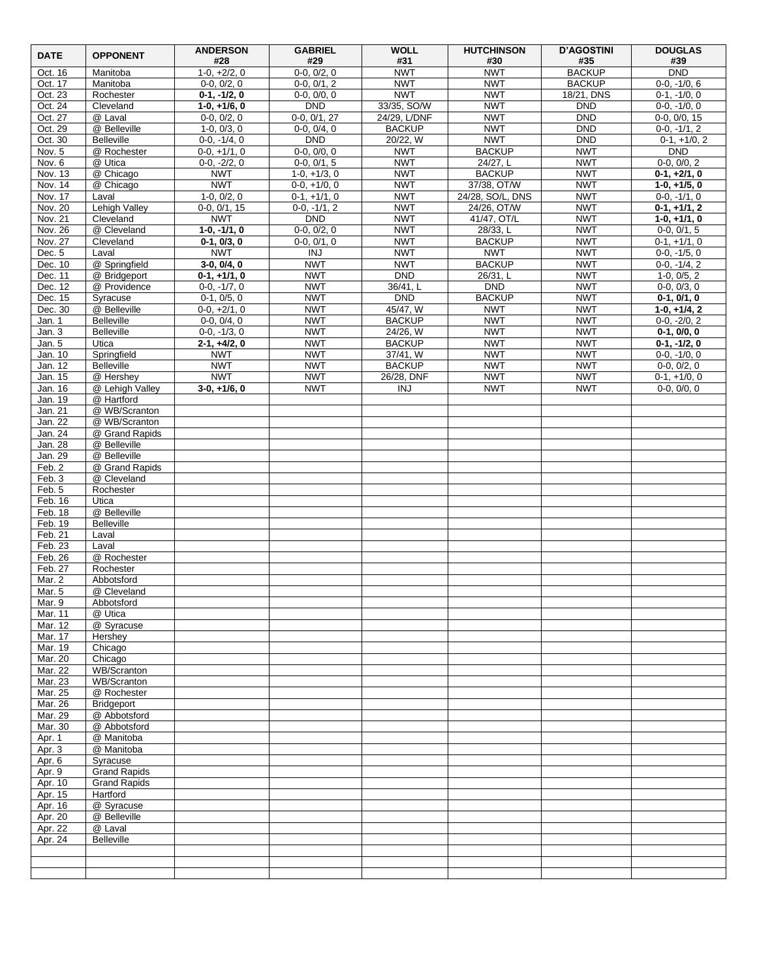| <b>DATE</b>        | <b>OPPONENT</b>                | <b>ANDERSON</b><br>#28           | <b>GABRIEL</b><br>#29           | <b>WOLL</b><br>#31            | <b>HUTCHINSON</b><br>#30  | <b>D'AGOSTINI</b><br>#35 | <b>DOUGLAS</b><br>#39            |
|--------------------|--------------------------------|----------------------------------|---------------------------------|-------------------------------|---------------------------|--------------------------|----------------------------------|
| Oct. 16            | Manitoba                       | $1-0, +2/2, 0$                   | $0-0, 0/2, 0$                   | <b>NWT</b>                    | <b>NWT</b>                | <b>BACKUP</b>            | DND                              |
| Oct. 17            | Manitoba                       | $0-0, 0/2, 0$                    | $0-0, 0/1, 2$                   | <b>NWT</b>                    | <b>NWT</b>                | <b>BACKUP</b>            | $0-0, -1/0, 6$                   |
| Oct. 23            | Rochester                      | $0-1, -1/2, 0$                   | $0-0, 0/0, 0$                   | <b>NWT</b>                    | <b>NWT</b>                | 18/21, DNS               | $0-1, -1/0, 0$                   |
| Oct. 24            | Cleveland                      | $1-0, +1/6, 0$                   | <b>DND</b>                      | 33/35, SO/W                   | <b>NWT</b>                | <b>DND</b>               | $0-0, -1/0, 0$                   |
| Oct. 27            | @ Laval<br>@ Belleville        | $0-0, 0/2, 0$                    | $0-0, 0/1, 27$<br>$0-0, 0/4, 0$ | 24/29, L/DNF<br><b>BACKUP</b> | <b>NWT</b><br><b>NWT</b>  | <b>DND</b><br><b>DND</b> | $0-0, 0/0, 15$                   |
| Oct. 29<br>Oct. 30 | <b>Belleville</b>              | $1-0, 0/3, 0$<br>$0-0, -1/4, 0$  | <b>DND</b>                      | 20/22, W                      | <b>NWT</b>                | <b>DND</b>               | $0-0, -1/1, 2$<br>$0-1, +1/0, 2$ |
| Nov. 5             | @ Rochester                    | $0-0, +1/1, 0$                   | $0-0, 0/0, 0$                   | <b>NWT</b>                    | <b>BACKUP</b>             | <b>NWT</b>               | DND                              |
| Nov. 6             | @ Utica                        | $0-0, -2/2, 0$                   | $0-0, 0/1, 5$                   | <b>NWT</b>                    | 24/27, L                  | <b>NWT</b>               | $0-0, 0/0, 2$                    |
| Nov. 13            | @ Chicago                      | <b>NWT</b>                       | $1-0, +1/3, 0$                  | <b>NWT</b>                    | <b>BACKUP</b>             | <b>NWT</b>               | $0-1, +2/1, 0$                   |
| Nov. 14            | @ Chicago                      | <b>NWT</b>                       | $0-0, +1/0, 0$                  | <b>NWT</b>                    | 37/38, OT/W               | <b>NWT</b>               | $1-0, +1/5, 0$                   |
| Nov. 17            | Laval                          | $1-0.0/2.0$                      | $0-1, +1/1, 0$                  | <b>NWT</b>                    | 24/28, SO/L, DNS          | <b>NWT</b>               | $0-0, -1/1, 0$                   |
| Nov. 20            | Lehigh Valley                  | $0-0, 0/1, 15$                   | $0-0, -1/1, 2$                  | <b>NWT</b>                    | 24/26, OT/W               | <b>NWT</b>               | $0-1, +1/1, 2$                   |
| Nov. 21            | Cleveland                      | <b>NWT</b>                       | <b>DND</b>                      | <b>NWT</b>                    | 41/47, OT/L               | <b>NWT</b>               | $1-0, +1/1, 0$                   |
| Nov. 26<br>Nov. 27 | @ Cleveland<br>Cleveland       | $1-0, -1/1, 0$<br>$0-1, 0/3, 0$  | $0-0, 0/2, 0$<br>$0-0, 0/1, 0$  | <b>NWT</b><br><b>NWT</b>      | 28/33, L<br><b>BACKUP</b> | <b>NWT</b><br><b>NWT</b> | $0-0, 0/1, 5$<br>$0-1, +1/1, 0$  |
| Dec. 5             | Laval                          | <b>NWT</b>                       | <b>INJ</b>                      | <b>NWT</b>                    | <b>NWT</b>                | <b>NWT</b>               | $0-0, -1/5, 0$                   |
| Dec. 10            | @ Springfield                  | $3-0, 0/4, 0$                    | <b>NWT</b>                      | <b>NWT</b>                    | <b>BACKUP</b>             | <b>NWT</b>               | $0-0, -1/4, 2$                   |
| Dec. 11            | @ Bridgeport                   | $0-1, +1/1, 0$                   | <b>NWT</b>                      | <b>DND</b>                    | 26/31, L                  | <b>NWT</b>               | $1-0, 0/5, 2$                    |
| Dec. 12            | @ Providence                   | $0-0, -1/7, 0$                   | <b>NWT</b>                      | 36/41, L                      | <b>DND</b>                | <b>NWT</b>               | $0-0, 0/3, 0$                    |
| Dec. 15            | Syracuse                       | $0-1, 0/5, 0$                    | <b>NWT</b>                      | DND                           | <b>BACKUP</b>             | <b>NWT</b>               | $0-1, 0/1, 0$                    |
| Dec. 30            | @ Belleville                   | $0-0, +2/1, 0$                   | <b>NWT</b>                      | 45/47, W                      | <b>NWT</b>                | <b>NWT</b>               | $1-0, +1/4, 2$                   |
| Jan. 1             | <b>Belleville</b>              | $0-0, 0/4, 0$                    | <b>NWT</b>                      | <b>BACKUP</b>                 | <b>NWT</b>                | <b>NWT</b>               | $0-0, -2/0, 2$                   |
| Jan. 3<br>Jan. 5   | <b>Belleville</b><br>Utica     | $0-0, -1/3, 0$<br>$2-1, +4/2, 0$ | <b>NWT</b><br><b>NWT</b>        | 24/26, W<br><b>BACKUP</b>     | <b>NWT</b><br><b>NWT</b>  | <b>NWT</b><br><b>NWT</b> | $0-1, 0/0, 0$<br>$0-1, -1/2, 0$  |
| Jan. 10            | Springfield                    | <b>NWT</b>                       | <b>NWT</b>                      | 37/41. W                      | <b>NWT</b>                | <b>NWT</b>               | $0-0, -1/0, 0$                   |
| Jan. 12            | <b>Belleville</b>              | <b>NWT</b>                       | <b>NWT</b>                      | <b>BACKUP</b>                 | <b>NWT</b>                | <b>NWT</b>               | $0-0, 0/2, 0$                    |
| Jan. 15            | @ Hershey                      | <b>NWT</b>                       | <b>NWT</b>                      | 26/28, DNF                    | <b>NWT</b>                | <b>NWT</b>               | $0-1, +1/0, 0$                   |
| Jan. 16            | @ Lehigh Valley                | $3-0, +1/6, 0$                   | <b>NWT</b>                      | <b>INJ</b>                    | <b>NWT</b>                | <b>NWT</b>               | $0-0, 0/0, 0$                    |
| Jan. 19            | @ Hartford                     |                                  |                                 |                               |                           |                          |                                  |
| Jan. 21            | @ WB/Scranton                  |                                  |                                 |                               |                           |                          |                                  |
| Jan. 22            | @ WB/Scranton                  |                                  |                                 |                               |                           |                          |                                  |
| Jan. 24<br>Jan. 28 | @ Grand Rapids<br>@ Belleville |                                  |                                 |                               |                           |                          |                                  |
| Jan. 29            | @ Belleville                   |                                  |                                 |                               |                           |                          |                                  |
| Feb. 2             | @ Grand Rapids                 |                                  |                                 |                               |                           |                          |                                  |
| Feb. 3             | @ Cleveland                    |                                  |                                 |                               |                           |                          |                                  |
| Feb. 5             | Rochester                      |                                  |                                 |                               |                           |                          |                                  |
| Feb. 16            | Utica                          |                                  |                                 |                               |                           |                          |                                  |
| Feb. 18            | @ Belleville                   |                                  |                                 |                               |                           |                          |                                  |
| Feb. 19<br>Feb. 21 | <b>Belleville</b><br>Laval     |                                  |                                 |                               |                           |                          |                                  |
| Feb. 23            | Laval                          |                                  |                                 |                               |                           |                          |                                  |
| Feb. 26            | @ Rochester                    |                                  |                                 |                               |                           |                          |                                  |
| Feb. 27            | Rochester                      |                                  |                                 |                               |                           |                          |                                  |
| Mar. 2             | Abbotsford                     |                                  |                                 |                               |                           |                          |                                  |
| Mar. 5             | @ Cleveland                    |                                  |                                 |                               |                           |                          |                                  |
| Mar. 9             | Abbotsford                     |                                  |                                 |                               |                           |                          |                                  |
| Mar. 11            | @ Utica                        |                                  |                                 |                               |                           |                          |                                  |
| Mar. 12<br>Mar. 17 | @ Syracuse<br>Hershev          |                                  |                                 |                               |                           |                          |                                  |
| Mar. 19            | Chicago                        |                                  |                                 |                               |                           |                          |                                  |
| Mar. 20            | Chicago                        |                                  |                                 |                               |                           |                          |                                  |
| Mar. 22            | WB/Scranton                    |                                  |                                 |                               |                           |                          |                                  |
| Mar. 23            | WB/Scranton                    |                                  |                                 |                               |                           |                          |                                  |
| Mar. 25            | @ Rochester                    |                                  |                                 |                               |                           |                          |                                  |
| Mar. 26            | <b>Bridgeport</b>              |                                  |                                 |                               |                           |                          |                                  |
| Mar. 29<br>Mar. 30 | @ Abbotsford<br>@ Abbotsford   |                                  |                                 |                               |                           |                          |                                  |
| Apr. $1$           | @ Manitoba                     |                                  |                                 |                               |                           |                          |                                  |
| Apr. 3             | @ Manitoba                     |                                  |                                 |                               |                           |                          |                                  |
| Apr. 6             | Syracuse                       |                                  |                                 |                               |                           |                          |                                  |
| Apr. 9             | <b>Grand Rapids</b>            |                                  |                                 |                               |                           |                          |                                  |
| Apr. 10            | <b>Grand Rapids</b>            |                                  |                                 |                               |                           |                          |                                  |
| Apr. 15            | Hartford                       |                                  |                                 |                               |                           |                          |                                  |
| Apr. 16<br>Apr. 20 | @ Syracuse<br>@ Belleville     |                                  |                                 |                               |                           |                          |                                  |
| Apr. 22            | @ Laval                        |                                  |                                 |                               |                           |                          |                                  |
| Apr. 24            | <b>Belleville</b>              |                                  |                                 |                               |                           |                          |                                  |
|                    |                                |                                  |                                 |                               |                           |                          |                                  |
|                    |                                |                                  |                                 |                               |                           |                          |                                  |
|                    |                                |                                  |                                 |                               |                           |                          |                                  |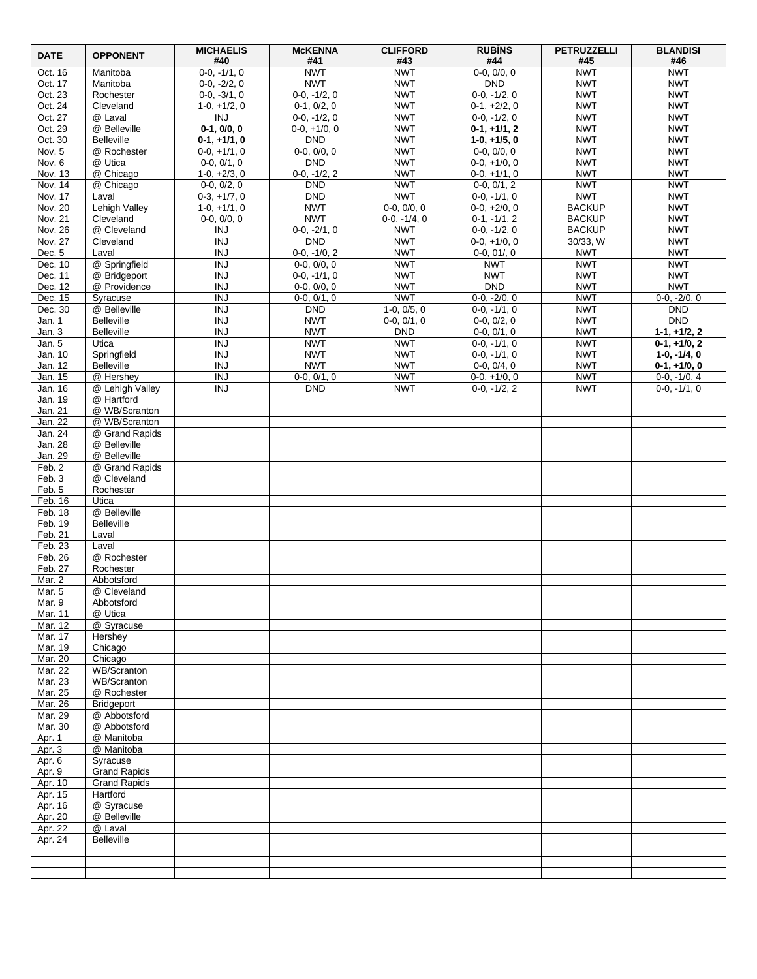| <b>DATE</b>        | <b>OPPONENT</b>                        | <b>MICHAELIS</b><br>#40         | <b>McKENNA</b><br>#41           | <b>CLIFFORD</b><br>#43      | <b>RUBINS</b><br>#44             | <b>PETRUZZELLI</b><br>#45 | <b>BLANDISI</b><br>#46           |
|--------------------|----------------------------------------|---------------------------------|---------------------------------|-----------------------------|----------------------------------|---------------------------|----------------------------------|
| Oct. 16            | Manitoba                               | $0-0, -1/1, 0$                  | <b>NWT</b>                      | <b>NWT</b>                  | $0-0, 0/0, 0$                    | <b>NWT</b>                | <b>NWT</b>                       |
| Oct. 17            | Manitoba                               | $0-0, -2/2, 0$                  | <b>NWT</b>                      | <b>NWT</b>                  | <b>DND</b>                       | <b>NWT</b>                | <b>NWT</b>                       |
| Oct. 23            | Rochester                              | $0-0, -3/1, 0$                  | $0-0, -1/2, 0$                  | <b>NWT</b>                  | $0-0, -1/2, 0$                   | <b>NWT</b>                | <b>NWT</b>                       |
| Oct. 24<br>Oct. 27 | Cleveland<br>@ Laval                   | $1-0, +1/2, 0$<br><b>INJ</b>    | $0-1, 0/2, 0$<br>$0-0, -1/2, 0$ | <b>NWT</b><br><b>NWT</b>    | $0-1, +2/2, 0$<br>$0-0, -1/2, 0$ | <b>NWT</b><br><b>NWT</b>  | <b>NWT</b><br><b>NWT</b>         |
| Oct. 29            | @ Belleville                           | $0-1, 0/0, 0$                   | $0-0, +1/0, 0$                  | <b>NWT</b>                  | $0-1, +1/1, 2$                   | <b>NWT</b>                | <b>NWT</b>                       |
| Oct. 30            | <b>Belleville</b>                      | $0-1, +1/1, 0$                  | <b>DND</b>                      | <b>NWT</b>                  | $1-0, +1/5, 0$                   | <b>NWT</b>                | <b>NWT</b>                       |
| Nov. 5             | @ Rochester                            | $0-0, +1/1, 0$                  | $0-0, 0/0, 0$                   | <b>NWT</b>                  | $0-0, 0/0, 0$                    | <b>NWT</b>                | <b>NWT</b>                       |
| Nov. 6             | @ Utica                                | $0-0, 0/1, 0$                   | <b>DND</b>                      | <b>NWT</b>                  | $0-0, +1/0, 0$                   | <b>NWT</b>                | <b>NWT</b>                       |
| Nov. 13            | @ Chicago                              | $1-0, +2/3, 0$                  | $0-0, -1/2, 2$                  | <b>NWT</b>                  | $0-0, +1/1, 0$                   | <b>NWT</b>                | <b>NWT</b>                       |
| Nov. 14<br>Nov. 17 | @ Chicago<br>Laval                     | $0-0, 0/2, 0$<br>$0-3, +1/7, 0$ | <b>DND</b><br><b>DND</b>        | <b>NWT</b><br><b>NWT</b>    | $0-0, 0/1, 2$<br>$0-0, -1/1, 0$  | <b>NWT</b><br><b>NWT</b>  | <b>NWT</b><br><b>NWT</b>         |
| Nov. 20            | Lehigh Valley                          | $1-0, +1/1, 0$                  | <b>NWT</b>                      | $0-0, 0/0, 0$               | $0-0, +2/0, 0$                   | <b>BACKUP</b>             | <b>NWT</b>                       |
| Nov. 21            | Cleveland                              | $0-0, 0/0, 0$                   | <b>NWT</b>                      | $0-0, -1/4, 0$              | $0-1, -1/1, 2$                   | <b>BACKUP</b>             | <b>NWT</b>                       |
| Nov. 26            | @ Cleveland                            | $\overline{INJ}$                | $0-0, -2/1, 0$                  | <b>NWT</b>                  | $0-0, -1/2, 0$                   | <b>BACKUP</b>             | <b>NWT</b>                       |
| Nov. 27            | Cleveland                              | $\overline{N}$                  | <b>DND</b>                      | <b>NWT</b>                  | $0-0, +1/0, 0$                   | 30/33, W                  | <b>NWT</b>                       |
| Dec. 5<br>Dec. 10  | Laval<br>@ Springfield                 | <b>INJ</b><br><b>INJ</b>        | $0-0, -1/0, 2$<br>$0-0, 0/0, 0$ | <b>NWT</b><br><b>NWT</b>    | $0-0, 01/0$<br><b>NWT</b>        | <b>NWT</b><br><b>NWT</b>  | <b>NWT</b><br><b>NWT</b>         |
| Dec. 11            | @ Bridgeport                           | <b>INJ</b>                      | $0-0, -1/1, 0$                  | <b>NWT</b>                  | <b>NWT</b>                       | <b>NWT</b>                | <b>NWT</b>                       |
| Dec. 12            | @ Providence                           | <b>INJ</b>                      | $0-0, 0/0, 0$                   | <b>NWT</b>                  | <b>DND</b>                       | <b>NWT</b>                | <b>NWT</b>                       |
| Dec. 15            | Syracuse                               | $\overline{N}$                  | $0-0, 0/1, 0$                   | <b>NWT</b>                  | $0-0, -2/0, 0$                   | <b>NWT</b>                | $0-0, -2/0, 0$                   |
| Dec. 30            | @ Belleville                           | <b>INJ</b>                      | <b>DND</b>                      | $1-0, 0/5, 0$               | $0-0, -1/1, 0$                   | <b>NWT</b>                | <b>DND</b>                       |
| Jan. 1             | <b>Belleville</b><br><b>Belleville</b> | <b>INJ</b><br>$\overline{N}$    | <b>NWT</b><br><b>NWT</b>        | $0-0, 0/1, 0$<br><b>DND</b> | $0-0, 0/2, 0$                    | <b>NWT</b><br><b>NWT</b>  | <b>DND</b>                       |
| Jan. 3<br>Jan. 5   | Utica                                  | <b>INJ</b>                      | <b>NWT</b>                      | <b>NWT</b>                  | $0-0, 0/1, 0$<br>$0-0, -1/1, 0$  | <b>NWT</b>                | $1-1, +1/2, 2$<br>$0-1, +1/0, 2$ |
| Jan. 10            | Springfield                            | <b>INJ</b>                      | <b>NWT</b>                      | <b>NWT</b>                  | $0-0, -1/1, 0$                   | <b>NWT</b>                | $1-0, -1/4, 0$                   |
| Jan. 12            | <b>Belleville</b>                      | $\overline{INJ}$                | <b>NWT</b>                      | <b>NWT</b>                  | $0-0, 0/4, 0$                    | <b>NWT</b>                | $0-1, +1/0, 0$                   |
| Jan. 15            | @ Hershey                              | <b>INJ</b>                      | $0-0, 0/1, 0$                   | <b>NWT</b>                  | $0-0, +1/0, 0$                   | <b>NWT</b>                | $0-0, -1/0, 4$                   |
| Jan. 16<br>Jan. 19 | @ Lehigh Valley<br>@ Hartford          | <b>INJ</b>                      | <b>DND</b>                      | <b>NWT</b>                  | $0-0, -1/2, 2$                   | <b>NWT</b>                | $0-0, -1/1, 0$                   |
| Jan. 21            | @ WB/Scranton                          |                                 |                                 |                             |                                  |                           |                                  |
| Jan. 22            | @ WB/Scranton                          |                                 |                                 |                             |                                  |                           |                                  |
| Jan. 24            | @ Grand Rapids                         |                                 |                                 |                             |                                  |                           |                                  |
| Jan. 28            | @ Belleville                           |                                 |                                 |                             |                                  |                           |                                  |
| Jan. 29<br>Feb. 2  | @ Belleville                           |                                 |                                 |                             |                                  |                           |                                  |
| Feb. 3             | @ Grand Rapids<br>@ Cleveland          |                                 |                                 |                             |                                  |                           |                                  |
| Feb. 5             | Rochester                              |                                 |                                 |                             |                                  |                           |                                  |
| Feb. 16            | Utica                                  |                                 |                                 |                             |                                  |                           |                                  |
| Feb. 18            | @ Belleville                           |                                 |                                 |                             |                                  |                           |                                  |
| Feb. 19<br>Feb. 21 | <b>Belleville</b>                      |                                 |                                 |                             |                                  |                           |                                  |
| Feb. 23            | Laval<br>Laval                         |                                 |                                 |                             |                                  |                           |                                  |
| Feb. 26            | @ Rochester                            |                                 |                                 |                             |                                  |                           |                                  |
| Feb. 27            | Rochester                              |                                 |                                 |                             |                                  |                           |                                  |
| Mar. 2             | Abbotsford                             |                                 |                                 |                             |                                  |                           |                                  |
| Mar. 5             | @ Cleveland                            |                                 |                                 |                             |                                  |                           |                                  |
| Mar. 9<br>Mar. 11  | Abbotsford<br>@ Utica                  |                                 |                                 |                             |                                  |                           |                                  |
| Mar. 12            | @ Syracuse                             |                                 |                                 |                             |                                  |                           |                                  |
| Mar. 17            | Hershev                                |                                 |                                 |                             |                                  |                           |                                  |
| Mar. 19            | Chicago                                |                                 |                                 |                             |                                  |                           |                                  |
| Mar. 20            | Chicago                                |                                 |                                 |                             |                                  |                           |                                  |
| Mar. 22<br>Mar. 23 | WB/Scranton<br>WB/Scranton             |                                 |                                 |                             |                                  |                           |                                  |
| Mar. 25            | @ Rochester                            |                                 |                                 |                             |                                  |                           |                                  |
| Mar. 26            | <b>Bridgeport</b>                      |                                 |                                 |                             |                                  |                           |                                  |
| Mar. 29            | @ Abbotsford                           |                                 |                                 |                             |                                  |                           |                                  |
| Mar. 30            | @ Abbotsford                           |                                 |                                 |                             |                                  |                           |                                  |
| Apr. $1$<br>Apr. 3 | @ Manitoba<br>@ Manitoba               |                                 |                                 |                             |                                  |                           |                                  |
| Apr. 6             | Syracuse                               |                                 |                                 |                             |                                  |                           |                                  |
| Apr. 9             | <b>Grand Rapids</b>                    |                                 |                                 |                             |                                  |                           |                                  |
| Apr. 10            | <b>Grand Rapids</b>                    |                                 |                                 |                             |                                  |                           |                                  |
| Apr. 15            | Hartford                               |                                 |                                 |                             |                                  |                           |                                  |
| Apr. 16<br>Apr. 20 | @ Syracuse<br>@ Belleville             |                                 |                                 |                             |                                  |                           |                                  |
| Apr. 22            | @ Laval                                |                                 |                                 |                             |                                  |                           |                                  |
| Apr. 24            | <b>Belleville</b>                      |                                 |                                 |                             |                                  |                           |                                  |
|                    |                                        |                                 |                                 |                             |                                  |                           |                                  |
|                    |                                        |                                 |                                 |                             |                                  |                           |                                  |
|                    |                                        |                                 |                                 |                             |                                  |                           |                                  |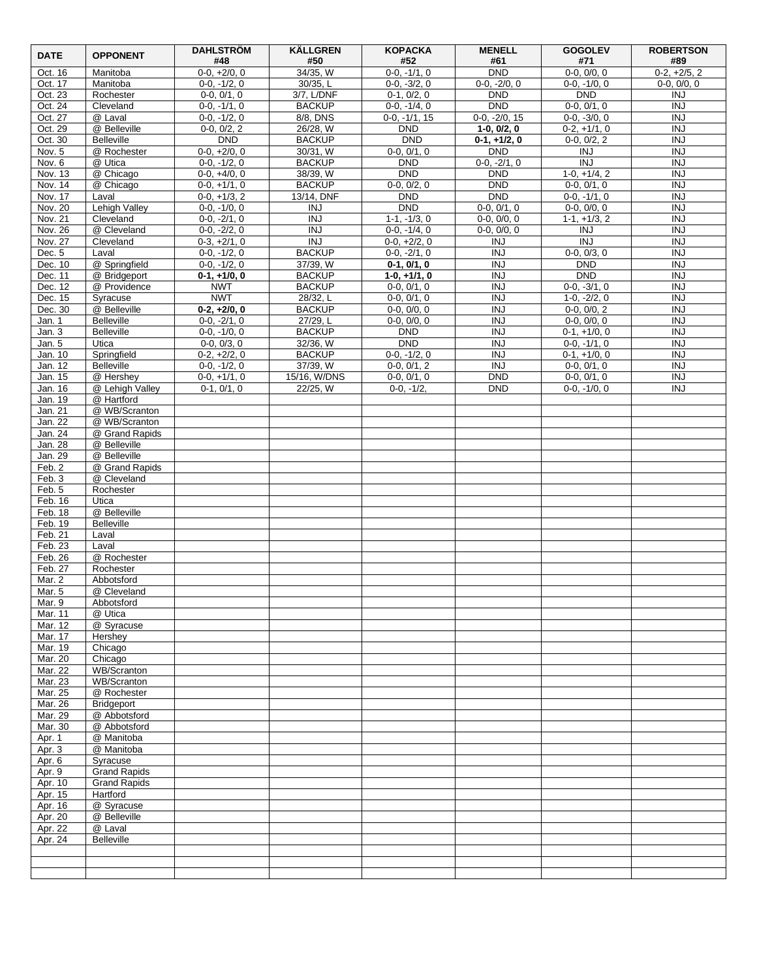| <b>DATE</b>        | <b>OPPONENT</b>                  | <b>DAHLSTRÖM</b><br>#48          | <b>KÄLLGREN</b><br>#50         | <b>KOPACKA</b><br>#52            | <b>MENELL</b><br>#61         | <b>GOGOLEV</b><br>#71            | <b>ROBERTSON</b><br>#89        |
|--------------------|----------------------------------|----------------------------------|--------------------------------|----------------------------------|------------------------------|----------------------------------|--------------------------------|
| Oct. 16            | Manitoba                         | $0-0, +2/0, 0$                   | 34/35, W                       | $0-0, -1/1, 0$                   | DND                          | $0-0, 0/0, 0$                    | $0-2, +2/5, 2$                 |
| Oct. 17            | Manitoba                         | $0-0, -1/2, 0$                   | 30/35, L                       | $0-0, -3/2, 0$                   | $0-0, -2/0, 0$               | $0-0, -1/0, 0$                   | $0-0, 0/0, 0$                  |
| Oct. 23<br>Oct. 24 | Rochester<br>Cleveland           | $0-0, 0/1, 0$<br>$0-0, -1/1, 0$  | 3/7, L/DNF<br><b>BACKUP</b>    | $0-1, 0/2, 0$<br>$0-0, -1/4, 0$  | <b>DND</b><br><b>DND</b>     | <b>DND</b><br>$0-0, 0/1, 0$      | <b>INJ</b><br><b>INJ</b>       |
| Oct. 27            | @ Laval                          | $0-0, -1/2, 0$                   | 8/8, DNS                       | $0-0, -1/1, 15$                  | $0-0, -2/0, 15$              | $0-0, -3/0, 0$                   | <b>INJ</b>                     |
| Oct. 29            | @ Belleville                     | $0-0, 0/2, 2$                    | 26/28, W                       | <b>DND</b>                       | $1-0, 0/2, 0$                | $0-2, +1/1, 0$                   | $\overline{INJ}$               |
| Oct. 30            | <b>Belleville</b>                | <b>DND</b>                       | <b>BACKUP</b>                  | <b>DND</b>                       | $0-1, +1/2, 0$               | $0-0, 0/2, 2$                    | <b>INJ</b>                     |
| Nov. 5             | @ Rochester                      | $0-0, +2/0, 0$                   | 30/31, W                       | $0-0, 0/1, 0$                    | <b>DND</b>                   | <b>INJ</b>                       | <b>INJ</b>                     |
| Nov. 6<br>Nov. 13  | @ Utica<br>@ Chicago             | $0-0, -1/2, 0$<br>$0-0, +4/0, 0$ | <b>BACKUP</b><br>38/39, W      | <b>DND</b><br><b>DND</b>         | $0-0, -2/1, 0$<br><b>DND</b> | $\overline{N}$<br>$1-0, +1/4, 2$ | <b>INJ</b><br>$\overline{INJ}$ |
| Nov. 14            | @ Chicago                        | $0-0, +1/1, 0$                   | <b>BACKUP</b>                  | $0-0, 0/2, 0$                    | <b>DND</b>                   | $0-0, 0/1, 0$                    | <b>INJ</b>                     |
| Nov. 17            | Laval                            | $0-0, +1/3, 2$                   | 13/14, DNF                     | <b>DND</b>                       | <b>DND</b>                   | $0-0, -1/1, 0$                   | $\overline{INJ}$               |
| Nov. 20            | Lehigh Valley                    | $0-0, -1/0, 0$                   | <b>INJ</b>                     | <b>DND</b>                       | $0-0, 0/1, 0$                | $0-0, 0/0, 0$                    | <b>INJ</b>                     |
| Nov. 21            | Cleveland                        | $0-0, -2/1, 0$                   | <b>INJ</b>                     | $1-1, -1/3, 0$                   | $0-0.0/0.0$                  | $1-1, +1/3, 2$                   | <b>INJ</b>                     |
| Nov. 26<br>Nov. 27 | @ Cleveland<br>Cleveland         | $0-0, -2/2, 0$<br>$0-3, +2/1, 0$ | <b>INJ</b><br>$\overline{INJ}$ | $0-0, -1/4, 0$<br>$0-0, +2/2, 0$ | $0-0, 0/0, 0$<br><b>INJ</b>  | <b>INJ</b><br>$\overline{N}$     | <b>INJ</b><br>$\overline{INJ}$ |
| Dec. 5             | Laval                            | $0-0, -1/2, 0$                   | <b>BACKUP</b>                  | $0-0, -2/1, 0$                   | <b>INJ</b>                   | $0-0, 0/3, 0$                    | <b>INJ</b>                     |
| Dec. 10            | @ Springfield                    | $0-0, -1/2, 0$                   | 37/39, W                       | $0-1, 0/1, 0$                    | <b>INJ</b>                   | <b>DND</b>                       | $\overline{INJ}$               |
| Dec. 11            | @ Bridgeport                     | $0-1, +1/0, 0$                   | <b>BACKUP</b>                  | $1-0, +1/1, 0$                   | <b>INJ</b>                   | <b>DND</b>                       | <b>INJ</b>                     |
| Dec. 12            | @ Providence                     | <b>NWT</b>                       | <b>BACKUP</b>                  | $0-0, 0/1, 0$                    | <b>INJ</b>                   | $0-0, -3/1, 0$                   | <b>INJ</b>                     |
| Dec. 15            | Syracuse<br>@ Belleville         | <b>NWT</b>                       | 28/32, L                       | $0-0, 0/1, 0$                    | <b>INJ</b><br><b>INJ</b>     | $1-0, -2/2, 0$                   | $\overline{INJ}$<br><b>INJ</b> |
| Dec. 30<br>Jan. 1  | <b>Belleville</b>                | $0-2, +2/0, 0$<br>$0-0, -2/1, 0$ | <b>BACKUP</b><br>27/29, L      | $0-0, 0/0, 0$<br>$0-0, 0/0, 0$   | <b>INJ</b>                   | $0-0, 0/0, 2$<br>$0-0, 0/0, 0$   | <b>INJ</b>                     |
| Jan. 3             | Belleville                       | $0-0, -1/0, 0$                   | <b>BACKUP</b>                  | <b>DND</b>                       | $\overline{N}$               | $0-1, +1/0, 0$                   | $\overline{INJ}$               |
| Jan. 5             | Utica                            | $0-0, 0/3, 0$                    | 32/36, W                       | <b>DND</b>                       | <b>INJ</b>                   | $0-0, -1/1, 0$                   | <b>INJ</b>                     |
| Jan. 10            | Springfield                      | $0-2, +2/2, 0$                   | <b>BACKUP</b>                  | $0-0, -1/2, 0$                   | <b>INJ</b>                   | $0-1, +1/0, 0$                   | <b>INJ</b>                     |
| Jan. 12            | <b>Belleville</b>                | $0-0, -1/2, 0$                   | 37/39, W                       | $0-0, 0/1, 2$                    | $\overline{I}$               | $0-0, 0/1, 0$                    | $\overline{INJ}$               |
| Jan. 15<br>Jan. 16 | @ Hershey<br>@ Lehigh Valley     | $0-0, +1/1, 0$<br>$0-1, 0/1, 0$  | 15/16, W/DNS<br>22/25, W       | $0-0, 0/1, 0$<br>$0-0. -1/2.$    | <b>DND</b><br><b>DND</b>     | $0-0, 0/1, 0$<br>$0-0, -1/0, 0$  | <b>INJ</b><br><b>INJ</b>       |
| Jan. 19            | @ Hartford                       |                                  |                                |                                  |                              |                                  |                                |
| Jan. 21            | @ WB/Scranton                    |                                  |                                |                                  |                              |                                  |                                |
| Jan. 22            | @ WB/Scranton                    |                                  |                                |                                  |                              |                                  |                                |
| Jan. 24            | @ Grand Rapids                   |                                  |                                |                                  |                              |                                  |                                |
| Jan. 28<br>Jan. 29 | @ Belleville<br>@ Belleville     |                                  |                                |                                  |                              |                                  |                                |
| Feb. 2             | @ Grand Rapids                   |                                  |                                |                                  |                              |                                  |                                |
| Feb. 3             | @ Cleveland                      |                                  |                                |                                  |                              |                                  |                                |
| Feb. 5             | Rochester                        |                                  |                                |                                  |                              |                                  |                                |
| Feb. 16<br>Feb. 18 | Utica<br>@ Belleville            |                                  |                                |                                  |                              |                                  |                                |
| Feb. 19            | <b>Belleville</b>                |                                  |                                |                                  |                              |                                  |                                |
| Feb. 21            | Laval                            |                                  |                                |                                  |                              |                                  |                                |
| Feb. 23            | Laval                            |                                  |                                |                                  |                              |                                  |                                |
| Feb. 26            | @ Rochester                      |                                  |                                |                                  |                              |                                  |                                |
| Feb. 27<br>Mar. 2  | Rochester<br>Abbotsford          |                                  |                                |                                  |                              |                                  |                                |
| Mar. 5             | @ Cleveland                      |                                  |                                |                                  |                              |                                  |                                |
| Mar. 9             | Abbotsford                       |                                  |                                |                                  |                              |                                  |                                |
| Mar. 11            | @ Utica                          |                                  |                                |                                  |                              |                                  |                                |
| Mar. 12            | @ Syracuse                       |                                  |                                |                                  |                              |                                  |                                |
| Mar. 17<br>Mar. 19 | Hershev<br>Chicago               |                                  |                                |                                  |                              |                                  |                                |
| Mar. 20            | Chicago                          |                                  |                                |                                  |                              |                                  |                                |
| Mar. 22            | WB/Scranton                      |                                  |                                |                                  |                              |                                  |                                |
| Mar. 23            | WB/Scranton                      |                                  |                                |                                  |                              |                                  |                                |
| Mar. 25<br>Mar. 26 | @ Rochester<br><b>Bridgeport</b> |                                  |                                |                                  |                              |                                  |                                |
| Mar. 29            | @ Abbotsford                     |                                  |                                |                                  |                              |                                  |                                |
| Mar. 30            | @ Abbotsford                     |                                  |                                |                                  |                              |                                  |                                |
| Apr. $1$           | @ Manitoba                       |                                  |                                |                                  |                              |                                  |                                |
| Apr. 3             | @ Manitoba                       |                                  |                                |                                  |                              |                                  |                                |
| Apr. 6<br>Apr. 9   | Syracuse<br><b>Grand Rapids</b>  |                                  |                                |                                  |                              |                                  |                                |
| Apr. 10            | <b>Grand Rapids</b>              |                                  |                                |                                  |                              |                                  |                                |
| Apr. 15            | Hartford                         |                                  |                                |                                  |                              |                                  |                                |
| Apr. 16            | @ Syracuse                       |                                  |                                |                                  |                              |                                  |                                |
| Apr. 20            | @ Belleville                     |                                  |                                |                                  |                              |                                  |                                |
| Apr. 22<br>Apr. 24 | @ Laval<br><b>Belleville</b>     |                                  |                                |                                  |                              |                                  |                                |
|                    |                                  |                                  |                                |                                  |                              |                                  |                                |
|                    |                                  |                                  |                                |                                  |                              |                                  |                                |
|                    |                                  |                                  |                                |                                  |                              |                                  |                                |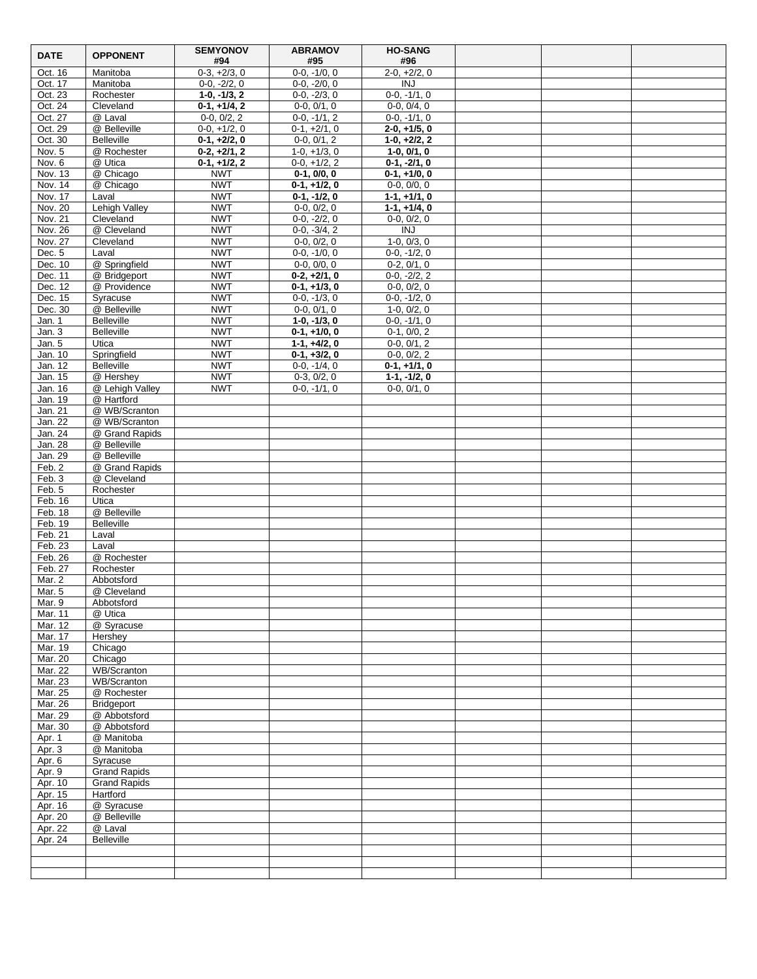| <b>DATE</b>        | <b>OPPONENT</b>              | <b>SEMYONOV</b><br>#94   | <b>ABRAMOV</b><br>#95            | <b>HO-SANG</b><br>#96       |  |  |
|--------------------|------------------------------|--------------------------|----------------------------------|-----------------------------|--|--|
| Oct. 16            | Manitoba                     | $0-3, +2/3, 0$           | $0-0, -1/0, 0$                   | $2-0, +2/2, 0$              |  |  |
| Oct. 17            | Manitoba                     | $0-0, -2/2, 0$           | $0-0, -2/0, 0$                   | <b>INJ</b>                  |  |  |
| Oct. 23            | Rochester                    | $1-0, -1/3, 2$           | $0-0, -2/3, 0$                   | $0-0, -1/1, 0$              |  |  |
| Oct. 24            | Cleveland                    | $0-1, +1/4, 2$           | $0-0, 0/1, 0$                    | $0-0, 0/4, 0$               |  |  |
| Oct. 27            | @ Laval                      | $0-0, 0/2, 2$            | $0-0, -1/1, 2$                   | $0-0, -1/1, 0$              |  |  |
| Oct. 29            | @ Belleville                 | $0-0, +1/2, 0$           | $0-1, +2/1, 0$                   | $2-0, +1/5, 0$              |  |  |
| Oct. 30            | <b>Belleville</b>            | $0-1, +2/2, 0$           | $0-0, 0/1, 2$                    | $1-0, +2/2, 2$              |  |  |
| Nov. 5             | @ Rochester                  | $0-2, +2/1, 2$           | $1-0, +1/3, 0$                   | $1-0, 0/1, 0$               |  |  |
| Nov. 6             | @ Utica                      | $0-1, +1/2, 2$           | $0-0, +1/2, 2$                   | $0-1, -2/1, 0$              |  |  |
| Nov. 13            | @ Chicago                    | <b>NWT</b>               | $0-1, 0/0, 0$                    | $0-1, +1/0, 0$              |  |  |
| Nov. 14            | @ Chicago                    | <b>NWT</b>               | $0-1, +1/2, 0$                   | $0-0, 0/0, 0$               |  |  |
| Nov. 17            | Laval                        | <b>NWT</b>               | $0-1, -1/2, 0$                   | $1-1, +1/1, 0$              |  |  |
| Nov. 20            | <b>Lehigh Valley</b>         | <b>NWT</b>               | $0-0, 0/2, 0$                    | $1-1, +1/4, 0$              |  |  |
| Nov. 21<br>Nov. 26 | Cleveland<br>@ Cleveland     | <b>NWT</b><br><b>NWT</b> | $0-0, -2/2, 0$<br>$0-0, -3/4, 2$ | $0-0, 0/2, 0$<br><b>INJ</b> |  |  |
| Nov. 27            | Cleveland                    | <b>NWT</b>               | $0-0, 0/2, 0$                    | $1-0, 0/3, 0$               |  |  |
| Dec. 5             | Laval                        | <b>NWT</b>               | $0-0, -1/0, 0$                   | $0-0, -1/2, 0$              |  |  |
| Dec. 10            | @ Springfield                | <b>NWT</b>               | $0-0, 0/0, 0$                    | $0-2, 0/1, 0$               |  |  |
| Dec. 11            | @ Bridgeport                 | <b>NWT</b>               | $0-2, +2/1, 0$                   | $0-0, -2/2, 2$              |  |  |
| Dec. 12            | @ Providence                 | <b>NWT</b>               | $0-1, +1/3, 0$                   | $0-0, 0/2, 0$               |  |  |
| Dec. 15            | Syracuse                     | <b>NWT</b>               | $0-0, -1/3, 0$                   | $0-0, -1/2, 0$              |  |  |
| Dec. 30            | @ Belleville                 | <b>NWT</b>               | $0-0, 0/1, 0$                    | $1-0, 0/2, 0$               |  |  |
| Jan. 1             | <b>Belleville</b>            | <b>NWT</b>               | $1-0, -1/3, 0$                   | $0-0, -1/1, 0$              |  |  |
| Jan. 3             | <b>Belleville</b>            | <b>NWT</b>               | $0-1, +1/0, 0$                   | $0-1, 0/0, 2$               |  |  |
| Jan. 5             | Utica                        | <b>NWT</b>               | $1-1, +4/2, 0$                   | $0-0, 0/1, 2$               |  |  |
| Jan. 10            | Springfield                  | <b>NWT</b>               | $0-1, +3/2, 0$                   | $0-0, 0/2, 2$               |  |  |
| Jan. 12            | <b>Belleville</b>            | <b>NWT</b>               | $0-0, -1/4, 0$                   | $0-1, +1/1, 0$              |  |  |
| Jan. 15            | @ Hershey                    | <b>NWT</b>               | $0-3, 0/2, 0$                    | $1-1, -1/2, 0$              |  |  |
| Jan. 16            | @ Lehigh Valley              | <b>NWT</b>               | $0-0, -1/1, 0$                   | $0-0, 0/1, 0$               |  |  |
| Jan. 19            | @ Hartford                   |                          |                                  |                             |  |  |
| Jan. 21            | @ WB/Scranton                |                          |                                  |                             |  |  |
| Jan. 22            | @ WB/Scranton                |                          |                                  |                             |  |  |
| Jan. 24            | @ Grand Rapids               |                          |                                  |                             |  |  |
| Jan. 28            | @ Belleville<br>@ Belleville |                          |                                  |                             |  |  |
| Jan. 29<br>Feb. 2  | @ Grand Rapids               |                          |                                  |                             |  |  |
| Feb.3              | @ Cleveland                  |                          |                                  |                             |  |  |
| Feb. 5             | Rochester                    |                          |                                  |                             |  |  |
| Feb. 16            | Utica                        |                          |                                  |                             |  |  |
| Feb. 18            | @ Belleville                 |                          |                                  |                             |  |  |
| Feb. 19            | Belleville                   |                          |                                  |                             |  |  |
| Feb. 21            | Laval                        |                          |                                  |                             |  |  |
| Feb. 23            | Laval                        |                          |                                  |                             |  |  |
| Feb. 26            | @ Rochester                  |                          |                                  |                             |  |  |
| Feb. 27            | Rochester                    |                          |                                  |                             |  |  |
| Mar. 2             | Abbotsford                   |                          |                                  |                             |  |  |
| Mar. 5             | @ Cleveland                  |                          |                                  |                             |  |  |
| Mar. 9             | Abbotsford                   |                          |                                  |                             |  |  |
| Mar. 11            | @ Utica                      |                          |                                  |                             |  |  |
| Mar. 12            | @ Syracuse                   |                          |                                  |                             |  |  |
| Mar. 17<br>Mar. 19 | Hershey<br>Chicago           |                          |                                  |                             |  |  |
| Mar. 20            | Chicago                      |                          |                                  |                             |  |  |
| Mar. 22            | WB/Scranton                  |                          |                                  |                             |  |  |
| Mar. 23            | WB/Scranton                  |                          |                                  |                             |  |  |
| Mar. 25            | @ Rochester                  |                          |                                  |                             |  |  |
| Mar. 26            | Bridgeport                   |                          |                                  |                             |  |  |
| Mar. 29            | @ Abbotsford                 |                          |                                  |                             |  |  |
| Mar. 30            | @ Abbotsford                 |                          |                                  |                             |  |  |
| Apr. 1             | @ Manitoba                   |                          |                                  |                             |  |  |
| Apr. 3             | @ Manitoba                   |                          |                                  |                             |  |  |
| Apr. 6             | Syracuse                     |                          |                                  |                             |  |  |
| Apr. 9             | <b>Grand Rapids</b>          |                          |                                  |                             |  |  |
| Apr. 10            | <b>Grand Rapids</b>          |                          |                                  |                             |  |  |
| Apr. 15            | Hartford                     |                          |                                  |                             |  |  |
| Apr. 16            | @ Syracuse                   |                          |                                  |                             |  |  |
| Apr. 20            | @ Belleville                 |                          |                                  |                             |  |  |
| Apr. 22            | @ Laval<br>Belleville        |                          |                                  |                             |  |  |
| Apr. 24            |                              |                          |                                  |                             |  |  |
|                    |                              |                          |                                  |                             |  |  |
|                    |                              |                          |                                  |                             |  |  |
|                    |                              |                          |                                  |                             |  |  |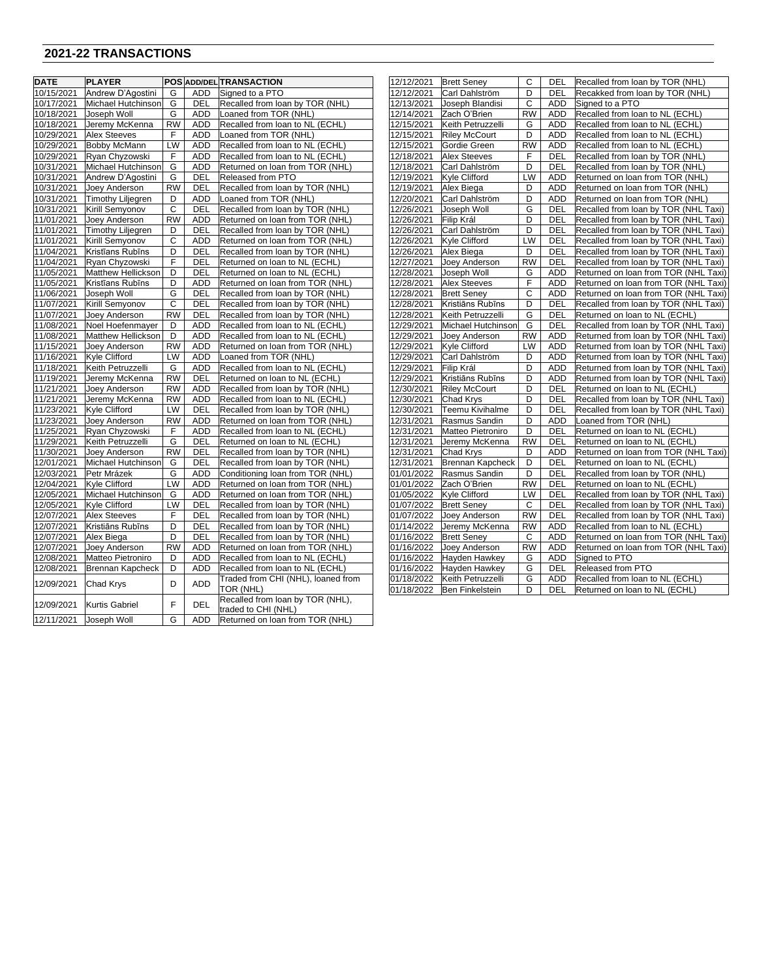### **2021-22 TRANSACTIONS**

12/11/2021 Joseph Woll G | ADD Returned on loan from TOR (NHL)

| <b>DATE</b> | <b>PLAYER</b>            |           |            | <b>POS ADD/DEL TRANSACTION</b>                          | 12/12/2021 | <b>Brett Seney</b>      | С         | DEL        | Recalled from loan by TOR (NHL)      |
|-------------|--------------------------|-----------|------------|---------------------------------------------------------|------------|-------------------------|-----------|------------|--------------------------------------|
| 10/15/2021  | Andrew D'Agostini        | G         | <b>ADD</b> | Signed to a PTO                                         | 12/12/2021 | Carl Dahlström          | D         | DEL        | Recakked from loan by TOR (NHL)      |
| 10/17/2021  | Michael Hutchinson       | G         | <b>DEL</b> | Recalled from loan by TOR (NHL)                         | 12/13/2021 | Joseph Blandisi         | C         | <b>ADD</b> | Signed to a PTO                      |
| 10/18/2021  | Joseph Woll              | G         | ADD        | oaned from TOR (NHL)                                    | 12/14/2021 | Zach O'Brien            | <b>RW</b> | ADD        | Recalled from loan to NL (ECHL)      |
| 10/18/2021  | Jeremy McKenna           | <b>RW</b> | <b>ADD</b> | Recalled from loan to NL (ECHL)                         | 12/15/2021 | Keith Petruzzelli       | G         | <b>ADD</b> | Recalled from loan to NL (ECHL)      |
| 10/29/2021  | <b>Alex Steeves</b>      | F         | ADD        | Loaned from TOR (NHL)                                   | 12/15/2021 | <b>Riley McCourt</b>    | D         | ADD        | Recalled from loan to NL (ECHL)      |
| 10/29/2021  | <b>Bobby McMann</b>      | LW        | ADD        | Recalled from loan to NL (ECHL)                         | 12/15/2021 | Gordie Green            | <b>RW</b> | <b>ADD</b> | Recalled from loan to NL (ECHL)      |
| 10/29/2021  | Ryan Chyzowski           | F         | <b>ADD</b> | Recalled from loan to NL (ECHL)                         | 12/18/2021 | <b>Alex Steeves</b>     | F         | <b>DEL</b> | Recalled from loan by TOR (NHL)      |
| 10/31/2021  | Michael Hutchinson       | G         | ADD        | Returned on loan from TOR (NHL)                         | 12/18/2021 | Carl Dahlström          | D         | DEL        | Recalled from loan by TOR (NHL)      |
| 10/31/2021  | Andrew D'Agostini        | G         | <b>DEL</b> | Released from PTO                                       | 12/19/2021 | <b>Kyle Clifford</b>    | LW        | <b>ADD</b> | Returned on loan from TOR (NHL)      |
| 10/31/2021  | Joey Anderson            | <b>RW</b> | DEL        | Recalled from loan by TOR (NHL)                         | 12/19/2021 | Alex Biega              | D         | <b>ADD</b> | Returned on loan from TOR (NHL)      |
| 10/31/2021  | <b>Timothy Liljegren</b> | D         | ADD        | Loaned from TOR (NHL)                                   | 12/20/2021 | Carl Dahlström          | D         | <b>ADD</b> | Returned on loan from TOR (NHL)      |
| 10/31/2021  | Kirill Semyonov          | C         | DEL        | Recalled from loan by TOR (NHL)                         | 12/26/2021 | Joseph Woll             | G         | DEL        | Recalled from loan by TOR (NHL Taxi) |
| 11/01/2021  | Joev Anderson            | <b>RW</b> | <b>ADD</b> | Returned on loan from TOR (NHL)                         | 12/26/2021 | Filip Král              | D         | DEL        | Recalled from loan by TOR (NHL Taxi) |
| 11/01/2021  | <b>Timothy Liljegren</b> | D         | DEL        | Recalled from loan by TOR (NHL)                         | 12/26/2021 | Carl Dahlström          | D         | DEL        | Recalled from loan by TOR (NHL Taxi) |
| 11/01/2021  | Kirill Semyonov          | С         | <b>ADD</b> | Returned on loan from TOR (NHL)                         | 12/26/2021 | <b>Kyle Clifford</b>    | LW        | DEL        | Recalled from loan by TOR (NHL Taxi) |
| 11/04/2021  | Kristīans Rubīns         | D         | <b>DEL</b> | Recalled from loan by TOR (NHL)                         | 12/26/2021 | Alex Biega              | D         | DEL        | Recalled from loan by TOR (NHL Taxi) |
| 11/04/2021  | Ryan Chyzowski           | F         | DEL        | Returned on loan to NL (ECHL)                           | 12/27/2021 | Joey Anderson           | <b>RW</b> | DEL        | Recalled from loan by TOR (NHL Taxi) |
| 11/05/2021  | Matthew Hellickson       | D         | DEL        | Returned on loan to NL (ECHL)                           | 12/28/2021 | Joseph Woll             | G         | <b>ADD</b> | Returned on loan from TOR (NHL Taxi) |
| 11/05/2021  | Kristīans Rubīns         | D         | <b>ADD</b> | Returned on loan from TOR (NHL)                         | 12/28/2021 | <b>Alex Steeves</b>     | F         | <b>ADD</b> | Returned on loan from TOR (NHL Taxi) |
| 11/06/2021  | Joseph Woll              | G         | DEL        | Recalled from loan by TOR (NHL)                         | 12/28/2021 | <b>Brett Seney</b>      | С         | <b>ADD</b> | Returned on loan from TOR (NHL Taxi) |
| 11/07/2021  | Kirill Semyonov          | C         | DEL        | Recalled from loan by TOR (NHL)                         | 12/28/2021 | Kristiāns Rubīns        | D         | DEL        | Recalled from loan by TOR (NHL Taxi) |
| 11/07/2021  | Joey Anderson            | <b>RW</b> | DEL        | Recalled from loan by TOR (NHL)                         | 12/28/2021 | Keith Petruzzelli       | G         | DEL        | Returned on loan to NL (ECHL)        |
| 11/08/2021  | Noel Hoefenmayer         | D         | ADD        | Recalled from loan to NL (ECHL)                         | 12/29/2021 | Michael Hutchinson      | G         | DEL        | Recalled from loan by TOR (NHL Taxi) |
| 11/08/2021  | Matthew Hellickson       | D         | <b>ADD</b> | Recalled from loan to NL (ECHL)                         | 12/29/2021 | Joev Anderson           | <b>RW</b> | <b>ADD</b> | Returned from loan by TOR (NHL Taxi) |
| 11/15/2021  | Joey Anderson            | <b>RW</b> | ADD        | Returned on loan from TOR (NHL)                         | 12/29/2021 | Kyle Clifford           | LW        | ADD        | Returned from loan by TOR (NHL Taxi) |
| 11/16/2021  | Kyle Clifford            | LW        | ADD        | Loaned from TOR (NHL)                                   | 12/29/2021 | Carl Dahlström          | D         | <b>ADD</b> | Returned from loan by TOR (NHL Taxi) |
| 11/18/2021  | Keith Petruzzelli        | G         | <b>ADD</b> | Recalled from loan to NL (ECHL)                         | 12/29/2021 | Filip Král              | D         | <b>ADD</b> | Returned from loan by TOR (NHL Taxi) |
| 11/19/2021  | Jeremy McKenna           | <b>RW</b> | DEL        | Returned on loan to NL (ECHL)                           | 12/29/2021 | Kristiāns Rubīns        | D         | <b>ADD</b> | Returned from loan by TOR (NHL Taxi) |
| 11/21/2021  | Joey Anderson            | <b>RW</b> | ADD        | Recalled from loan by TOR (NHL)                         | 12/30/2021 | <b>Riley McCourt</b>    | D         | DEL        | Returned on loan to NL (ECHL)        |
| 11/21/2021  | Jeremy McKenna           | <b>RW</b> | <b>ADD</b> | Recalled from loan to NL (ECHL)                         | 12/30/2021 | Chad Krys               | D         | DEL        | Recalled from loan by TOR (NHL Taxi) |
| 11/23/2021  | <b>Kyle Clifford</b>     | LW        | DEL        | Recalled from loan by TOR (NHL)                         | 12/30/2021 | Teemu Kivihalme         | D         | DEL        | Recalled from loan by TOR (NHL Taxi) |
| 11/23/2021  | Joey Anderson            | RW        | <b>ADD</b> | Returned on loan from TOR (NHL)                         | 12/31/2021 | Rasmus Sandin           | D         | <b>ADD</b> | Loaned from TOR (NHL)                |
| 11/25/2021  | Ryan Chyzowski           | F         | <b>ADD</b> | Recalled from loan to NL (ECHL)                         | 12/31/2021 | Matteo Pietroniro       | D         | DEL        | Returned on loan to NL (ECHL)        |
| 11/29/2021  | Keith Petruzzelli        | G         | DEL        | Returned on loan to NL (ECHL)                           | 12/31/2021 | Jeremy McKenna          | <b>RW</b> | DEL        | Returned on loan to NL (ECHL)        |
| 11/30/2021  | Joey Anderson            | <b>RW</b> | DEL        | Recalled from loan by TOR (NHL)                         | 12/31/2021 | Chad Krys               | D         | <b>ADD</b> | Returned on loan from TOR (NHL Taxi) |
| 12/01/2021  | Michael Hutchinson       | G         | DEL        | Recalled from loan by TOR (NHL)                         | 12/31/2021 | <b>Brennan Kapcheck</b> | D         | DEL        | Returned on loan to NL (ECHL)        |
| 12/03/2021  | Petr Mrázek              | G         | ADD        | Conditioning loan from TOR (NHL)                        | 01/01/2022 | Rasmus Sandin           | D         | DEL        | Recalled from loan by TOR (NHL)      |
| 12/04/2021  | Kyle Clifford            | LW        | <b>ADD</b> | Returned on loan from TOR (NHL)                         | 01/01/2022 | Zach O'Brien            | <b>RW</b> | DEL        | Returned on loan to NL (ECHL)        |
| 12/05/2021  | Michael Hutchinson       | G         | ADD        | Returned on loan from TOR (NHL)                         | 01/05/2022 | <b>Kyle Clifford</b>    | LW        | DEL        | Recalled from loan by TOR (NHL Taxi) |
| 12/05/2021  | Kyle Clifford            | LW        | <b>DEL</b> | Recalled from loan by TOR (NHL)                         | 01/07/2022 | <b>Brett Seney</b>      | C         | DEL        | Recalled from loan by TOR (NHL Taxi) |
| 12/07/2021  | <b>Alex Steeves</b>      | F         | DEL        | Recalled from loan by TOR (NHL)                         | 01/07/2022 | Joey Anderson           | <b>RW</b> | DEL        | Recalled from loan by TOR (NHL Taxi) |
| 12/07/2021  | Kristiāns Rubīns         | D         | DEL        | Recalled from loan by TOR (NHL)                         | 01/14/2022 | Jeremy McKenna          | <b>RW</b> | <b>ADD</b> | Recalled from loan to NL (ECHL)      |
| 12/07/2021  | Alex Biega               | D         | DEL        | Recalled from loan by TOR (NHL)                         | 01/16/2022 | <b>Brett Seney</b>      | C         | <b>ADD</b> | Returned on loan from TOR (NHL Taxi) |
| 12/07/2021  | Joey Anderson            | <b>RW</b> | <b>ADD</b> | Returned on loan from TOR (NHL)                         | 01/16/2022 | Joev Anderson           | <b>RW</b> | <b>ADD</b> | Returned on loan from TOR (NHL Taxi) |
| 12/08/2021  | Matteo Pietroniro        | D         | ADD        | Recalled from loan to NL (ECHL)                         | 01/16/2022 | Hayden Hawkey           | G         | ADD        | Signed to PTO                        |
| 12/08/2021  | Brennan Kapcheck         | D         | <b>ADD</b> | Recalled from loan to NL (ECHL)                         | 01/16/2022 | Hayden Hawkey           | G         | DEL        | Released from PTO                    |
| 12/09/2021  | Chad Krys                | D         | ADD        | Traded from CHI (NHL), loaned from                      | 01/18/2022 | Keith Petruzzelli       | G         | <b>ADD</b> | Recalled from loan to NL (ECHL)      |
|             |                          |           |            | TOR (NHL)                                               | 01/18/2022 | Ben Finkelstein         | D         | DEL        | Returned on loan to NL (ECHL)        |
| 12/09/2021  | <b>Kurtis Gabriel</b>    | F         | <b>DEL</b> | Recalled from loan by TOR (NHL),<br>traded to CHI (NHL) |            |                         |           |            |                                      |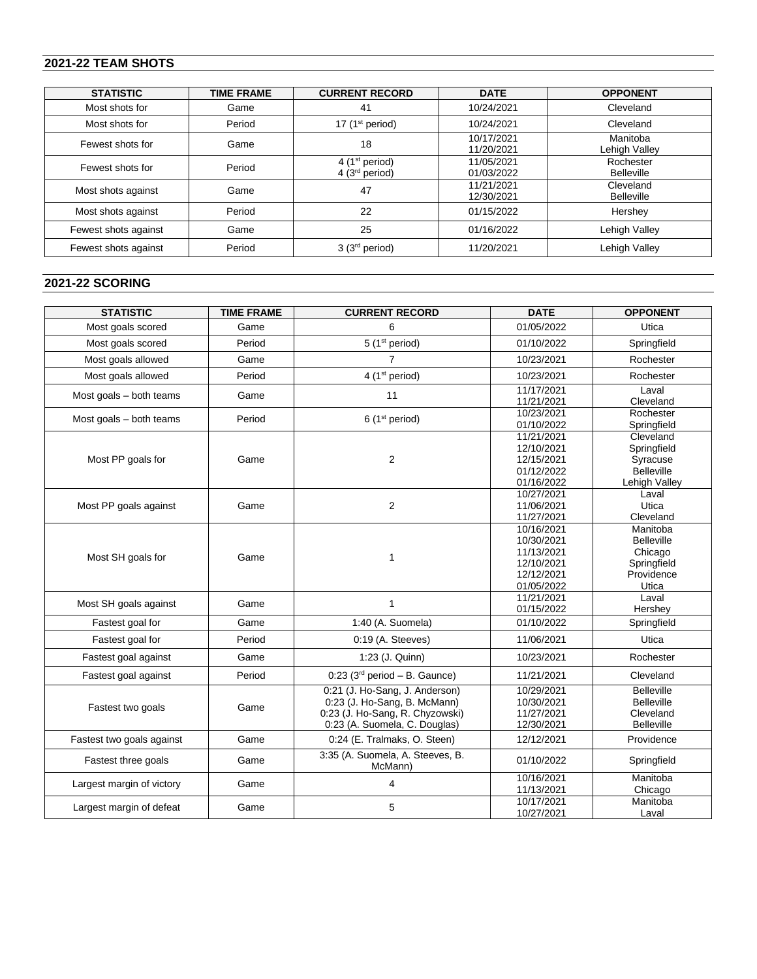## **2021-22 TEAM SHOTS**

| <b>STATISTIC</b>     | <b>TIME FRAME</b> | <b>CURRENT RECORD</b>                          | <b>DATE</b>              | <b>OPPONENT</b>                |
|----------------------|-------------------|------------------------------------------------|--------------------------|--------------------------------|
| Most shots for       | Game              | 41                                             | 10/24/2021               | Cleveland                      |
| Most shots for       | Period            | 17 $(1st period)$                              | 10/24/2021               | Cleveland                      |
| Fewest shots for     | Game              | 18                                             | 10/17/2021<br>11/20/2021 | Manitoba<br>Lehigh Valley      |
| Fewest shots for     | Period            | 4 ( $1st$ period)<br>4(3 <sup>rd</sup> period) | 11/05/2021<br>01/03/2022 | Rochester<br><b>Belleville</b> |
| Most shots against   | Game              | 47                                             | 11/21/2021<br>12/30/2021 | Cleveland<br><b>Belleville</b> |
| Most shots against   | Period            | 22                                             | 01/15/2022               | Hershey                        |
| Fewest shots against | Game              | 25                                             | 01/16/2022               | Lehigh Valley                  |
| Fewest shots against | Period            | 3(3 <sup>rd</sup> period)                      | 11/20/2021               | Lehigh Valley                  |

## **2021-22 SCORING**

| <b>STATISTIC</b>          | <b>TIME FRAME</b> | <b>CURRENT RECORD</b>                                                                                                              | <b>DATE</b>                                                                      | <b>OPPONENT</b>                                                                |
|---------------------------|-------------------|------------------------------------------------------------------------------------------------------------------------------------|----------------------------------------------------------------------------------|--------------------------------------------------------------------------------|
| Most goals scored         | Game              | 6                                                                                                                                  | 01/05/2022                                                                       | Utica                                                                          |
| Most goals scored         | Period            | 5 (1 <sup>st</sup> period)                                                                                                         | 01/10/2022                                                                       | Springfield                                                                    |
| Most goals allowed        | Game              | 7                                                                                                                                  | 10/23/2021                                                                       | Rochester                                                                      |
| Most goals allowed        | Period            | 4 (1 <sup>st</sup> period)                                                                                                         | 10/23/2021                                                                       | Rochester                                                                      |
| Most goals - both teams   | Game              | 11                                                                                                                                 | 11/17/2021<br>11/21/2021                                                         | Laval<br>Cleveland                                                             |
| Most goals - both teams   | Period            | 6(1 <sup>st</sup> period)                                                                                                          | 10/23/2021<br>01/10/2022                                                         | Rochester<br>Springfield                                                       |
| Most PP goals for         | Game              | $\overline{2}$                                                                                                                     | 11/21/2021<br>12/10/2021<br>12/15/2021<br>01/12/2022<br>01/16/2022               | Cleveland<br>Springfield<br>Syracuse<br><b>Belleville</b><br>Lehigh Valley     |
| Most PP goals against     | Game              | $\overline{2}$                                                                                                                     | 10/27/2021<br>11/06/2021<br>11/27/2021                                           | Laval<br>Utica<br>Cleveland                                                    |
| Most SH goals for         | Game              | 1                                                                                                                                  | 10/16/2021<br>10/30/2021<br>11/13/2021<br>12/10/2021<br>12/12/2021<br>01/05/2022 | Manitoba<br><b>Belleville</b><br>Chicago<br>Springfield<br>Providence<br>Utica |
| Most SH goals against     | Game              | 1                                                                                                                                  | 11/21/2021<br>01/15/2022                                                         | Laval<br>Hershey                                                               |
| Fastest goal for          | Game              | 1:40 (A. Suomela)                                                                                                                  | 01/10/2022                                                                       | Springfield                                                                    |
| Fastest goal for          | Period            | 0:19 (A. Steeves)                                                                                                                  | 11/06/2021                                                                       | Utica                                                                          |
| Fastest goal against      | Game              | 1:23 (J. Quinn)                                                                                                                    | 10/23/2021                                                                       | Rochester                                                                      |
| Fastest goal against      | Period            | $0.23$ (3 <sup>rd</sup> period - B. Gaunce)                                                                                        | 11/21/2021                                                                       | Cleveland                                                                      |
| Fastest two goals         | Game              | 0:21 (J. Ho-Sang, J. Anderson)<br>0:23 (J. Ho-Sang, B. McMann)<br>0:23 (J. Ho-Sang, R. Chyzowski)<br>0:23 (A. Suomela, C. Douglas) | 10/29/2021<br>10/30/2021<br>11/27/2021<br>12/30/2021                             | <b>Belleville</b><br><b>Belleville</b><br>Cleveland<br>Belleville              |
| Fastest two goals against | Game              | 0:24 (E. Tralmaks, O. Steen)                                                                                                       | 12/12/2021                                                                       | Providence                                                                     |
| Fastest three goals       | Game              | 3:35 (A. Suomela, A. Steeves, B.<br>McMann)                                                                                        | 01/10/2022                                                                       | Springfield                                                                    |
| Largest margin of victory | Game              | 4                                                                                                                                  | 10/16/2021<br>11/13/2021                                                         | Manitoba<br>Chicago                                                            |
| Largest margin of defeat  | Game              | 5                                                                                                                                  | 10/17/2021<br>10/27/2021                                                         | Manitoba<br>Laval                                                              |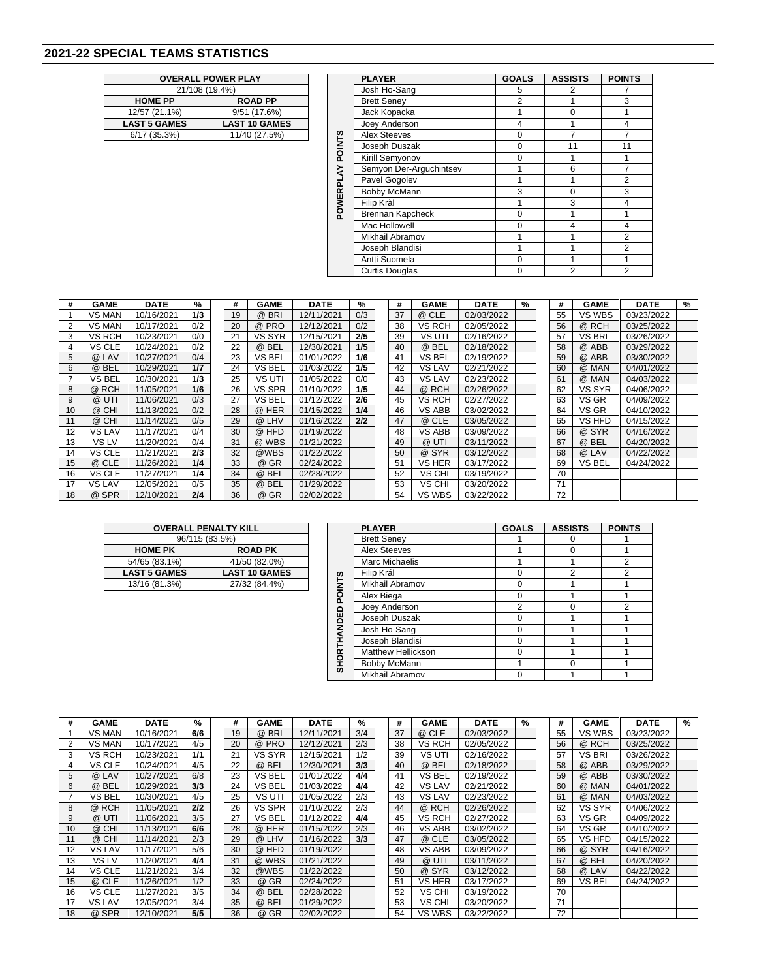## **2021-22 SPECIAL TEAMS STATISTICS**

|                     | <b>OVERALL POWER PLAY</b> |  |  |  |  |  |  |  |  |  |  |
|---------------------|---------------------------|--|--|--|--|--|--|--|--|--|--|
| 21/108 (19.4%)      |                           |  |  |  |  |  |  |  |  |  |  |
| <b>HOME PP</b>      | <b>ROAD PP</b>            |  |  |  |  |  |  |  |  |  |  |
| 12/57 (21.1%)       | 9/51 (17.6%)              |  |  |  |  |  |  |  |  |  |  |
| <b>LAST 5 GAMES</b> | <b>LAST 10 GAMES</b>      |  |  |  |  |  |  |  |  |  |  |
| 6/17 (35.3%)        | 11/40 (27.5%)             |  |  |  |  |  |  |  |  |  |  |
|                     |                           |  |  |  |  |  |  |  |  |  |  |

|                     | <b>OVERALL POWER PLAY</b> |                | <b>PLAYER</b>           | <b>GOALS</b> | <b>ASSISTS</b> | <b>POINTS</b> |
|---------------------|---------------------------|----------------|-------------------------|--------------|----------------|---------------|
|                     | 21/108 (19.4%)            |                | Josh Ho-Sang            | 5            |                |               |
| <b>HOME PP</b>      | <b>ROAD PP</b>            |                | <b>Brett Seney</b>      | 2            |                | 3             |
| 12/57 (21.1%)       | 9/51 (17.6%)              |                | Jack Kopacka            |              | $\Omega$       |               |
| <b>LAST 5 GAMES</b> | <b>LAST 10 GAMES</b>      |                | Joey Anderson           | 4            |                | 4             |
| 6/17(35.3%)         | 11/40 (27.5%)             |                | <b>Alex Steeves</b>     | $\Omega$     | 7              |               |
|                     |                           | <b>POINTS</b>  | Joseph Duszak           | $\Omega$     | 11             | 11            |
|                     |                           |                | Kirill Semyonov         | $\Omega$     |                |               |
|                     |                           | ≿              | Semyon Der-Arquchintsev |              | 6              | 7             |
|                     |                           |                | Pavel Gogolev           |              |                | 2             |
|                     |                           | <b>POWERPL</b> | Bobby McMann            | 3            | $\Omega$       | 3             |
|                     |                           |                | Filip Kràl              |              | 3              | 4             |
|                     |                           |                | Brennan Kapcheck        | $\Omega$     |                |               |
|                     |                           |                | Mac Hollowell           | $\Omega$     | 4              | 4             |
|                     |                           |                | Mikhail Abramov         |              |                | 2             |
|                     |                           |                | Joseph Blandisi         |              |                | 2             |
|                     |                           |                | Antti Suomela           | $\Omega$     |                |               |
|                     |                           |                | <b>Curtis Douglas</b>   | $\Omega$     | $\mathfrak{p}$ | 2             |

| #  | <b>GAME</b>   | <b>DATE</b> | %   | #  | <b>GAME</b>                        | <b>DATE</b> | %   | #  | <b>GAME</b>   | <b>DATE</b> | % | #  | <b>GAME</b>   | <b>DATE</b> | % |
|----|---------------|-------------|-----|----|------------------------------------|-------------|-----|----|---------------|-------------|---|----|---------------|-------------|---|
|    | VS MAN        | 10/16/2021  | 1/3 | 19 | <b>BRI</b><br>$^{\textregistered}$ | 12/11/2021  | 0/3 | 37 | @ CLE         | 02/03/2022  |   | 55 | VS WBS        | 03/23/2022  |   |
| 2  | VS MAN        | 10/17/2021  | 0/2 | 20 | $^{\circledR}$<br><b>PRO</b>       | 12/12/2021  | 0/2 | 38 | VS RCH        | 02/05/2022  |   | 56 | @ RCH         | 03/25/2022  |   |
| 3  | VS RCH        | 10/23/2021  | 0/0 | 21 | VS SYR                             | 12/15/2021  | 2/5 | 39 | VS UTI        | 02/16/2022  |   | 57 | <b>VS BRI</b> | 03/26/2022  |   |
| 4  | VS CLE        | 10/24/2021  | 0/2 | 22 | @ BEL                              | 12/30/2021  | 1/5 | 40 | @ BEL         | 02/18/2022  |   | 58 | @ ABB         | 03/29/2022  |   |
| 5  | @ LAV         | 10/27/2021  | 0/4 | 23 | <b>VS BEL</b>                      | 01/01/2022  | 1/6 | 41 | VS BEL        | 02/19/2022  |   | 59 | @ ABB         | 03/30/2022  |   |
| 6  | @ BEL         | 10/29/2021  | 1/7 | 24 | <b>VS BEL</b>                      | 01/03/2022  | 1/5 | 42 | <b>VS LAV</b> | 02/21/2022  |   | 60 | @ MAN         | 04/01/2022  |   |
|    | VS BEL        | 10/30/2021  | 1/3 | 25 | VS UTI                             | 01/05/2022  | 0/0 | 43 | <b>VS LAV</b> | 02/23/2022  |   | 61 | @ MAN         | 04/03/2022  |   |
| 8  | @ RCH         | 11/05/2021  | 1/6 | 26 | VS SPR                             | 01/10/2022  | 1/5 | 44 | @ RCH         | 02/26/2022  |   | 62 | <b>VS SYR</b> | 04/06/2022  |   |
| 9  | @ UTI         | 11/06/2021  | 0/3 | 27 | <b>VS BEL</b>                      | 01/12/2022  | 2/6 | 45 | VS RCH        | 02/27/2022  |   | 63 | VS GR         | 04/09/2022  |   |
| 10 | @ CHI         | 11/13/2021  | 0/2 | 28 | @ HER                              | 01/15/2022  | 1/4 | 46 | VS ABB        | 03/02/2022  |   | 64 | VS GR         | 04/10/2022  |   |
| 11 | @ CHI         | 11/14/2021  | 0/5 | 29 | @ LHV                              | 01/16/2022  | 2/2 | 47 | @ CLE         | 03/05/2022  |   | 65 | VS HFD        | 04/15/2022  |   |
| 12 | <b>VS LAV</b> | 11/17/2021  | 0/4 | 30 | @ HFD                              | 01/19/2022  |     | 48 | VS ABB        | 03/09/2022  |   | 66 | @ SYR         | 04/16/2022  |   |
| 13 | VS LV         | 11/20/2021  | 0/4 | 31 | @ WBS                              | 01/21/2022  |     | 49 | @ UTI         | 03/11/2022  |   | 67 | @ BEL         | 04/20/2022  |   |
| 14 | VS CLE        | 11/21/2021  | 2/3 | 32 | @WBS                               | 01/22/2022  |     | 50 | @ SYR         | 03/12/2022  |   | 68 | @ LAV         | 04/22/2022  |   |
| 15 | @ CLE         | 11/26/2021  | 1/4 | 33 | @ GR                               | 02/24/2022  |     | 51 | VS HER        | 03/17/2022  |   | 69 | VS BEL        | 04/24/2022  |   |
| 16 | VS CLE        | 11/27/2021  | 1/4 | 34 | @ BEL                              | 02/28/2022  |     | 52 | VS CHI        | 03/19/2022  |   | 70 |               |             |   |
| 17 | VS LAV        | 12/05/2021  | 0/5 | 35 | @ BEL                              | 01/29/2022  |     | 53 | VS CHI        | 03/20/2022  |   | 71 |               |             |   |
| 18 | @ SPR         | 12/10/2021  | 2/4 | 36 | @ GR                               | 02/02/2022  |     | 54 | <b>VS WBS</b> | 03/22/2022  |   | 72 |               |             |   |

| <b>OVERALL PENALTY KILL</b> |                      |  |  |  |  |  |  |  |  |
|-----------------------------|----------------------|--|--|--|--|--|--|--|--|
| 96/115 (83.5%)              |                      |  |  |  |  |  |  |  |  |
| <b>HOME PK</b>              | <b>ROAD PK</b>       |  |  |  |  |  |  |  |  |
| 54/65 (83.1%)               | 41/50 (82.0%)        |  |  |  |  |  |  |  |  |
| <b>LAST 5 GAMES</b>         | <b>LAST 10 GAMES</b> |  |  |  |  |  |  |  |  |
| 13/16 (81.3%)               | 27/32 (84.4%)        |  |  |  |  |  |  |  |  |

|                                             | <b>OVERALL PENALTY KILL</b> |                    | <b>PLAYER</b>             | <b>GOALS</b> | <b>ASSISTS</b> | <b>POINTS</b> |
|---------------------------------------------|-----------------------------|--------------------|---------------------------|--------------|----------------|---------------|
|                                             | 96/115 (83.5%)              |                    | <b>Brett Seney</b>        |              | 0              |               |
| <b>HOME PK</b>                              | <b>ROAD PK</b>              |                    | <b>Alex Steeves</b>       |              | $\Omega$       |               |
| 41/50 (82.0%)<br>54/65 (83.1%)              |                             |                    | Marc Michaelis            |              |                | 2             |
| <b>LAST 5 GAMES</b><br><b>LAST 10 GAMES</b> |                             |                    | Filip Král                | $\Omega$     | 2              | 2             |
| 13/16 (81.3%)<br>27/32 (84.4%)              |                             |                    | Mikhail Abramov           | 0            |                |               |
|                                             |                             | <b>POINTS</b>      | Alex Biega                | $\Omega$     |                |               |
|                                             |                             |                    | Joey Anderson             | 2            | O              | 2             |
|                                             |                             |                    | Joseph Duszak             | 0            |                |               |
|                                             |                             |                    | Josh Ho-Sang              | $\Omega$     |                |               |
|                                             |                             |                    | Joseph Blandisi           | $\Omega$     |                |               |
|                                             |                             |                    | <b>Matthew Hellickson</b> | 0            |                |               |
|                                             |                             | <b>SHORTHANDED</b> | Bobby McMann              |              | O              |               |
|                                             |                             |                    | Mikhail Abramov           | $\Omega$     |                |               |

| #  | <b>GAME</b>   | <b>DATE</b> | %   | #  | <b>GAME</b>                  | <b>DATE</b> | %   | #  | <b>GAME</b>   | <b>DATE</b> | $\frac{9}{6}$ | #  | <b>GAME</b>   | <b>DATE</b> | % |
|----|---------------|-------------|-----|----|------------------------------|-------------|-----|----|---------------|-------------|---------------|----|---------------|-------------|---|
|    | VS MAN        | 10/16/2021  | 6/6 | 19 | @ BRI                        | 12/11/2021  | 3/4 | 37 | @ CLE         | 02/03/2022  |               | 55 | VS WBS        | 03/23/2022  |   |
|    | VS MAN        | 10/17/2021  | 4/5 | 20 | <b>PRO</b><br>$^{\circledR}$ | 12/12/2021  | 2/3 | 38 | VS RCH        | 02/05/2022  |               | 56 | @ RCH         | 03/25/2022  |   |
|    | VS RCH        | 10/23/2021  | 1/1 | 21 | VS SYR                       | 12/15/2021  | 1/2 | 39 | VS UTI        | 02/16/2022  |               | 57 | <b>VS BRI</b> | 03/26/2022  |   |
|    | VS CLE        | 10/24/2021  | 4/5 | 22 | @ BEL                        | 12/30/2021  | 3/3 | 40 | @ BEL         | 02/18/2022  |               | 58 | @ ABB         | 03/29/2022  |   |
| 5  | @ LAV         | 10/27/2021  | 6/8 | 23 | <b>VS BEL</b>                | 01/01/2022  | 4/4 | 41 | VS BEL        | 02/19/2022  |               | 59 | @ ABB         | 03/30/2022  |   |
| 6  | @ BEL         | 10/29/2021  | 3/3 | 24 | <b>VS BEL</b>                | 01/03/2022  | 4/4 | 42 | <b>VS LAV</b> | 02/21/2022  |               | 60 | @ MAN         | 04/01/2022  |   |
|    | VS BEL        | 10/30/2021  | 4/5 | 25 | VS UTI                       | 01/05/2022  | 2/3 | 43 | <b>VS LAV</b> | 02/23/2022  |               | 61 | @ MAN         | 04/03/2022  |   |
| 8  | @ RCH         | 11/05/2021  | 2/2 | 26 | <b>VS SPR</b>                | 01/10/2022  | 2/3 | 44 | @ RCH         | 02/26/2022  |               | 62 | <b>VS SYR</b> | 04/06/2022  |   |
| 9  | @ UTI         | 11/06/2021  | 3/5 | 27 | <b>VS BEL</b>                | 01/12/2022  | 4/4 | 45 | <b>VS RCH</b> | 02/27/2022  |               | 63 | VS GR         | 04/09/2022  |   |
| 10 | @ CHI         | 11/13/2021  | 6/6 | 28 | @ HER                        | 01/15/2022  | 2/3 | 46 | VS ABB        | 03/02/2022  |               | 64 | VS GR         | 04/10/2022  |   |
| 11 | @ CHI         | 11/14/2021  | 2/3 | 29 | @ LHV                        | 01/16/2022  | 3/3 | 47 | @ CLE         | 03/05/2022  |               | 65 | <b>VS HFD</b> | 04/15/2022  |   |
| 12 | <b>VS LAV</b> | 11/17/2021  | 5/6 | 30 | @ HFD                        | 01/19/2022  |     | 48 | <b>VS ABB</b> | 03/09/2022  |               | 66 | @ SYR         | 04/16/2022  |   |
| 13 | VS LV         | 11/20/2021  | 4/4 | 31 | @ WBS                        | 01/21/2022  |     | 49 | @ UTI         | 03/11/2022  |               | 67 | @ BEL         | 04/20/2022  |   |
| 14 | VS CLE        | 11/21/2021  | 3/4 | 32 | @WBS                         | 01/22/2022  |     | 50 | @ SYR         | 03/12/2022  |               | 68 | @ LAV         | 04/22/2022  |   |
| 15 | @ CLE         | 11/26/2021  | 1/2 | 33 | @ GR                         | 02/24/2022  |     | 51 | VS HER        | 03/17/2022  |               | 69 | <b>VS BEL</b> | 04/24/2022  |   |
| 16 | VS CLE        | 11/27/2021  | 3/5 | 34 | @ BEL                        | 02/28/2022  |     | 52 | VS CHI        | 03/19/2022  |               | 70 |               |             |   |
| 17 | <b>VS LAV</b> | 12/05/2021  | 3/4 | 35 | @ BEL                        | 01/29/2022  |     | 53 | VS CHI        | 03/20/2022  |               | 71 |               |             |   |
| 18 | @ SPR         | 12/10/2021  | 5/5 | 36 | @ GR                         | 02/02/2022  |     | 54 | <b>VS WBS</b> | 03/22/2022  |               | 72 |               |             |   |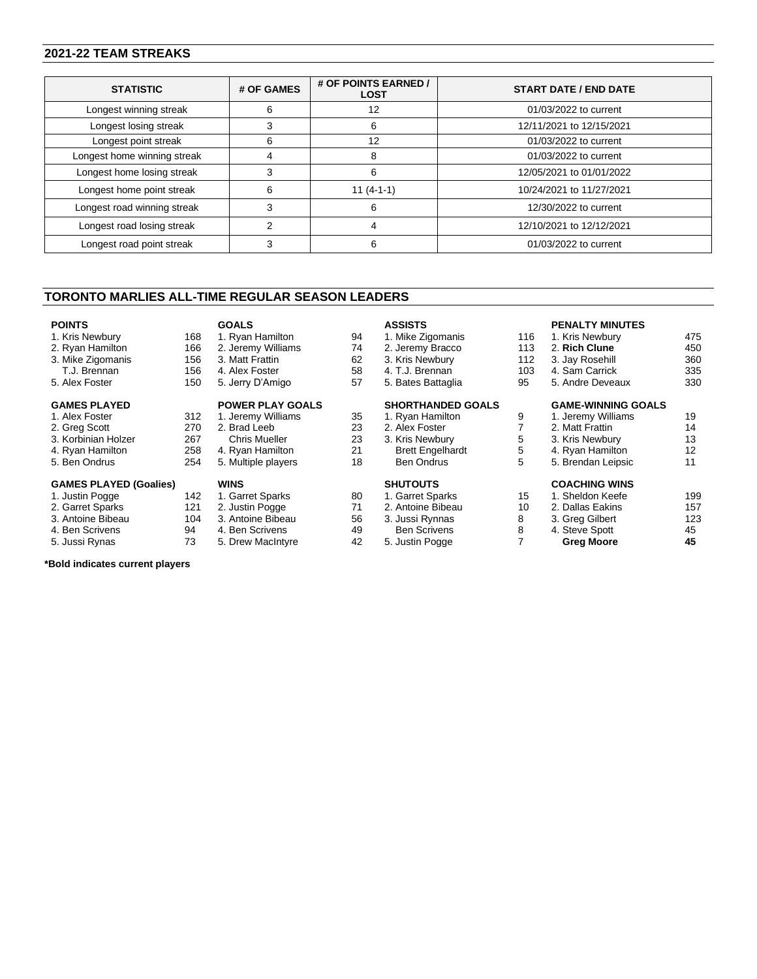### **2021-22 TEAM STREAKS**

| <b>STATISTIC</b>            | # OF GAMES | # OF POINTS EARNED /<br><b>LOST</b> | <b>START DATE / END DATE</b> |
|-----------------------------|------------|-------------------------------------|------------------------------|
| Longest winning streak      |            |                                     | 01/03/2022 to current        |
| Longest losing streak       |            | n                                   | 12/11/2021 to 12/15/2021     |
| Longest point streak        |            | 12                                  | 01/03/2022 to current        |
| Longest home winning streak |            | 8                                   | 01/03/2022 to current        |
| Longest home losing streak  |            | 6                                   | 12/05/2021 to 01/01/2022     |
| Longest home point streak   | ิค         | $11(4-1-1)$                         | 10/24/2021 to 11/27/2021     |
| Longest road winning streak |            | 6                                   | 12/30/2022 to current        |
| Longest road losing streak  |            |                                     | 12/10/2021 to 12/12/2021     |
| Longest road point streak   |            | 6                                   | 01/03/2022 to current        |

#### **TORONTO MARLIES ALL-TIME REGULAR SEASON LEADERS**

**GOALS**

#### **POINTS**

1. Kris Newbury 168<br>2. Ryan Hamilton 166 2. Ryan Hamilton 166<br>3. Mike Zigomanis 156 3. Mike Zigomanis

- T.J. Brennan 156<br>Alex Foster 150
- 5. Alex Foster
- **GAMES PLAYED**
- 1. Alex Foster 312<br>2. Greg Scott 270
- 2. Greg Scott
- 3. Korbinian Holzer 267<br>4. Ryan Hamilton 258
- 4. Ryan Hamilton 258<br>5. Ben Ondrus 254
- 5. Ben Ondrus

#### **GAMES PLAYED (Goalies)**

1. Justin Pogge 142

- 2. Garret Sparks 121<br>3. Antoine Bibeau 104
- 3. Antoine Bibeau 104<br>4. Ben Scrivens 94 4. Ben Scrivens
- 5. Jussi Rynas 73
- 

**\*Bold indicates current players**

#### **ASSISTS**

1. Ryan Hamilton 94<br>2. Jeremy Williams 74 2. Jeremy Williams 74<br>3. Matt Frattin 62 3. Matt Frattin 4. Alex Foster 58<br>5. Jerry D'Amigo 57 5. Jerry D'Amigo **POWER PLAY GOALS** 1. Jeremy Williams 35<br>2. Brad Leeb 23 2. Brad Leeb Chris Mueller 23<br>Ryan Hamilton 21

| 4. Ryan Hamilton    | 21 |
|---------------------|----|
| 5. Multiple players | 18 |
|                     |    |
| <b>WINS</b>         |    |
| 1. Garret Sparks    | 80 |
| 2. Justin Pogge     | 71 |
| 3. Antoine Bibeau   | 56 |

4. Ben Scrivens

3. Antoine Bibeau 56

5. Drew MacIntyre 42

#### 1. Mike Zigomanis 116<br>2. Jeremy Bracco 113 2. Jeremy Bracco 113<br>3. Kris Newbury 112 3. Kris Newbury

4. T.J. Brennan 103<br>5. Bates Battaglia 195 5. Bates Battaglia

## **SHORTHANDED GOALS**

1. Ryan Hamilton 9<br>2. Alex Foster 7 2. Alex Foster 3. Kris Newbury 5<br>Brett Engelhardt 5 Brett Engelhardt 5<br>Ben Ondrus 5 Ben Ondrus **SHUTOUTS** 1. Garret Sparks 2. Antoine Bibeau 10

#### **PENALTY MINUTES**

| 1. Kris Newbury           | 475 |
|---------------------------|-----|
| 2. Rich Clune             | 450 |
| 3. Jay Rosehill           | 360 |
| 4. Sam Carrick            | 335 |
| 5. Andre Deveaux          | 330 |
| <b>GAME-WINNING GOALS</b> |     |
| 1. Jeremy Williams        | 19  |
| 2. Matt Frattin           | 14  |
| 3. Kris Newbury           | 13  |
| 4. Ryan Hamilton          | 12  |
| 5. Brendan Leipsic        | 11  |
| <b>COACHING WINS</b>      |     |
| 1. Sheldon Keefe          | 199 |
| 2. Dallas Eakins          | 157 |
| 3. Greg Gilbert           | 123 |
| 4. Steve Spott            | 45  |
|                           |     |

**Greg Moore 45**

| 2. Antoine Bibeau   |   |
|---------------------|---|
| 3. Jussi Rynnas     | 8 |
| <b>Ben Scrivens</b> | 8 |
| 5. Justin Pogge     |   |

| 15 | 1. Sheldon Kee  |
|----|-----------------|
| 10 | 2. Dallas Eakin |
| 8  | 3. Greg Gilbert |
| R  | 4. Steve Spott  |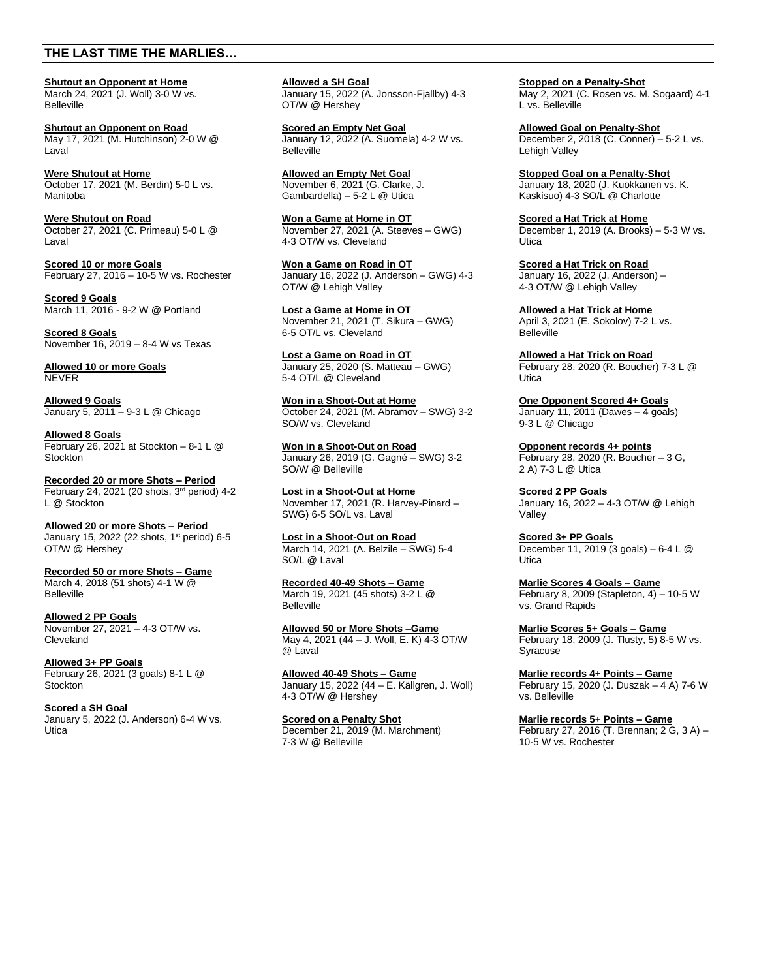### **THE LAST TIME THE MARLIES…**

**Shutout an Opponent at Home** March 24, 2021 (J. Woll) 3-0 W vs. Belleville

**Shutout an Opponent on Road** May 17, 2021 (M. Hutchinson) 2-0 W @ Laval

**Were Shutout at Home** October 17, 2021 (M. Berdin) 5-0 L vs. Manitoba

**Were Shutout on Road** October 27, 2021 (C. Primeau) 5-0 L @ Laval

**Scored 10 or more Goals** February 27, 2016 – 10-5 W vs. Rochester

**Scored 9 Goals** March 11, 2016 - 9-2 W @ Portland

**Scored 8 Goals** November 16, 2019 – 8-4 W vs Texas

**Allowed 10 or more Goals** NEVER

**Allowed 9 Goals** January 5, 2011 – 9-3 L @ Chicago

**Allowed 8 Goals** February 26, 2021 at Stockton  $-8-1$  L  $@$ **Stockton** 

**Recorded 20 or more Shots – Period** February 24, 2021 (20 shots,  $3<sup>rd</sup>$  period) 4-2 L @ Stockton

**Allowed 20 or more Shots – Period** January 15, 2022 (22 shots, 1<sup>st</sup> period) 6-5 OT/W @ Hershey

**Recorded 50 or more Shots – Game** March 4, 2018 (51 shots) 4-1 W @ Belleville

**Allowed 2 PP Goals** November 27, 2021 – 4-3 OT/W vs. Cleveland

**Allowed 3+ PP Goals** February 26, 2021 (3 goals) 8-1 L @ **Stockton** 

**Scored a SH Goal** January 5, 2022 (J. Anderson) 6-4 W vs. Utica

**Allowed a SH Goal** January 15, 2022 (A. Jonsson-Fjallby) 4-3 OT/W @ Hershey

**Scored an Empty Net Goal**  January 12, 2022 (A. Suomela) 4-2 W vs. **Belleville** 

**Allowed an Empty Net Goal** November 6, 2021 (G. Clarke, J. Gambardella) – 5-2 L  $@$  Utica

**Won a Game at Home in OT** November 27, 2021 (A. Steeves – GWG) 4-3 OT/W vs. Cleveland

**Won a Game on Road in OT** January 16, 2022 (J. Anderson – GWG) 4-3 OT/W @ Lehigh Valley

**Lost a Game at Home in OT**  November 21, 2021 (T. Sikura – GWG) 6-5 OT/L vs. Cleveland

**Lost a Game on Road in OT**  January 25, 2020 (S. Matteau – GWG) 5-4 OT/L @ Cleveland

**Won in a Shoot-Out at Home**  October 24, 2021 (M. Abramov – SWG) 3-2 SO/W vs. Cleveland

**Won in a Shoot-Out on Road**  January 26, 2019 (G. Gagné – SWG) 3-2 SO/W @ Belleville

**Lost in a Shoot-Out at Home**  November 17, 2021 (R. Harvey-Pinard – SWG) 6-5 SO/L vs. Laval

**Lost in a Shoot-Out on Road**  March 14, 2021 (A. Belzile – SWG) 5-4 SO/L @ Laval

**Recorded 40-49 Shots – Game** March 19, 2021 (45 shots) 3-2 L @ Belleville

**Allowed 50 or More Shots –Game** May 4, 2021 (44 – J. Woll, E. K) 4-3 OT/W  $@$  Laval

**Allowed 40-49 Shots – Game** January 15, 2022 (44 – E. Källgren, J. Woll) 4-3 OT/W @ Hershey

**Scored on a Penalty Shot** December 21, 2019 (M. Marchment) 7-3 W @ Belleville

**Stopped on a Penalty-Shot** May 2, 2021 (C. Rosen vs. M. Sogaard) 4-1 L vs. Belleville

**Allowed Goal on Penalty-Shot** December 2, 2018 (C. Conner) – 5-2 L vs. Lehigh Valley

**Stopped Goal on a Penalty-Shot** January 18, 2020 (J. Kuokkanen vs. K. Kaskisuo) 4-3 SO/L @ Charlotte

**Scored a Hat Trick at Home** December 1, 2019 (A. Brooks) – 5-3 W vs. Utica

**Scored a Hat Trick on Road**  January 16, 2022 (J. Anderson) – 4-3 OT/W @ Lehigh Valley

**Allowed a Hat Trick at Home** April 3, 2021 (E. Sokolov) 7-2 L vs. **Belleville** 

**Allowed a Hat Trick on Road** February 28, 2020 (R. Boucher) 7-3 L @ Utica

**One Opponent Scored 4+ Goals** January 11, 2011 (Dawes – 4 goals) 9-3 L @ Chicago

**Opponent records 4+ points** February 28, 2020 (R. Boucher – 3 G, 2 A) 7-3 L @ Utica

**Scored 2 PP Goals** January 16, 2022 – 4-3 OT/W @ Lehigh Valley

**Scored 3+ PP Goals** December 11, 2019 (3 goals) – 6-4 L @ **Utica** 

**Marlie Scores 4 Goals – Game** February 8, 2009 (Stapleton, 4) – 10-5 W vs. Grand Rapids

**Marlie Scores 5+ Goals – Game** February 18, 2009 (J. Tlusty, 5) 8-5 W vs. Syracuse

**Marlie records 4+ Points – Game** February 15, 2020 (J. Duszak – 4 A) 7-6 W vs. Belleville

**Marlie records 5+ Points – Game** February 27, 2016 (T. Brennan; 2 G, 3 A) – 10-5 W vs. Rochester